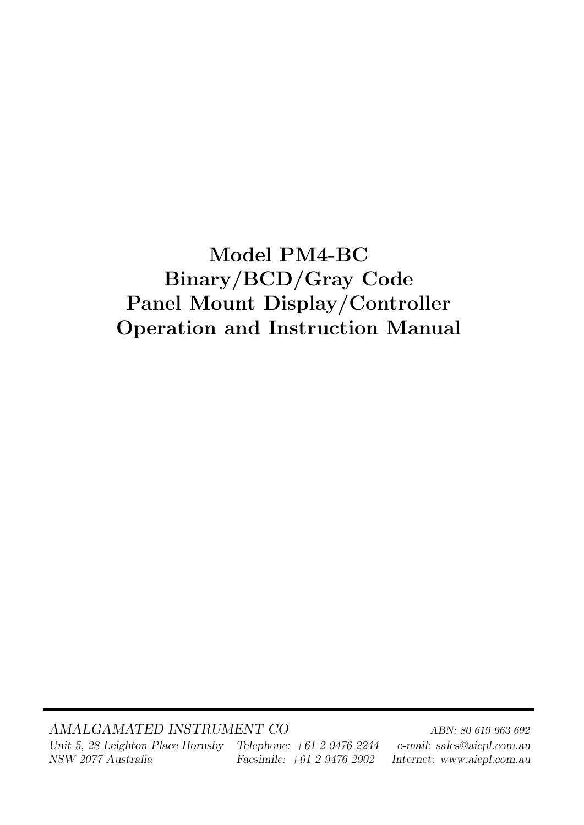# Model PM4-BC Binary/BCD/Gray Code Panel Mount Display/Controller Operation and Instruction Manual

AMALGAMATED INSTRUMENT CO<br>ABN: 80 619 963 692 Unit 5, 28 Leighton Place Hornsby Telephone: +61 2 9476 2244 e-mail: sales@aicpl.com.au NSW 2077 Australia Facsimile: +61 2 9476 2902 Internet: www.aicpl.com.au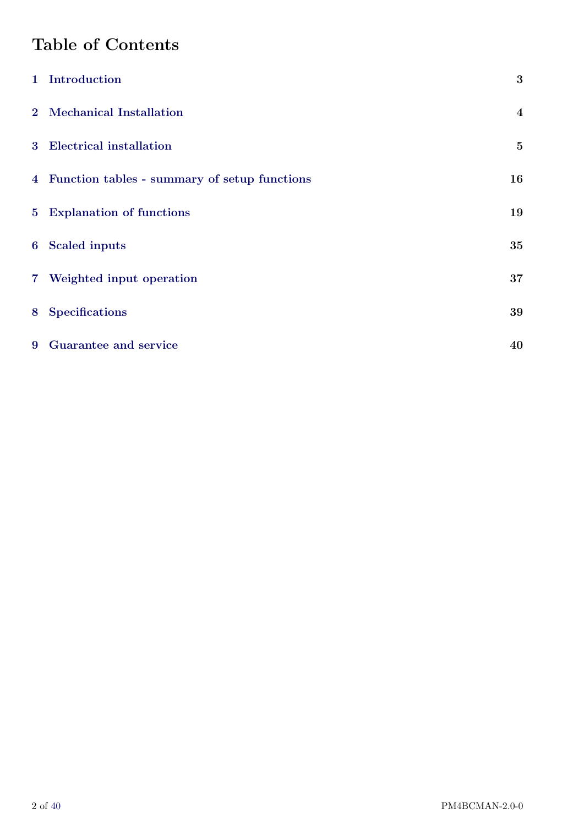# Table of Contents

|   | 1 Introduction                                 | 3                       |
|---|------------------------------------------------|-------------------------|
|   | 2 Mechanical Installation                      | $\overline{\mathbf{4}}$ |
|   | 3 Electrical installation                      | $\bf{5}$                |
|   | 4 Function tables - summary of setup functions | 16                      |
|   | 5 Explanation of functions                     | 19                      |
|   | 6 Scaled inputs                                | 35                      |
|   | 7 Weighted input operation                     | 37                      |
| 8 | <b>Specifications</b>                          | 39                      |
|   | 9 Guarantee and service                        | 40                      |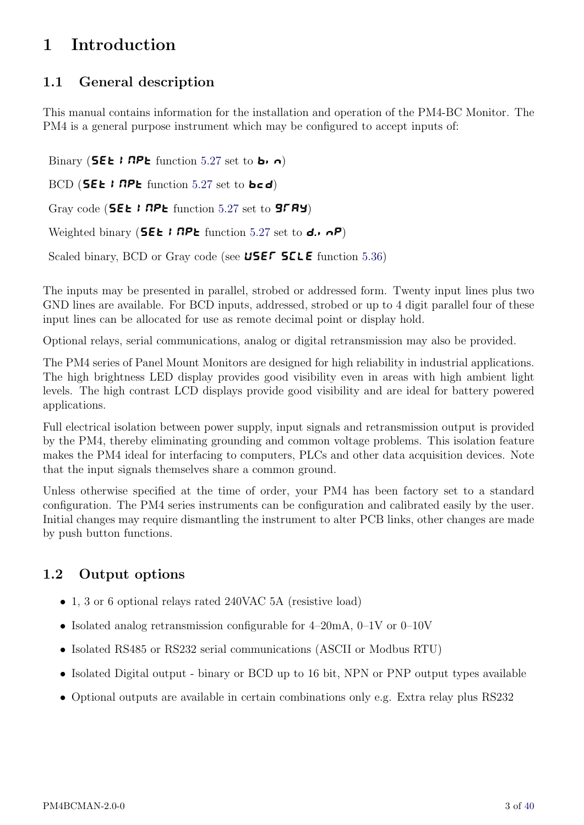# <span id="page-2-0"></span>1 Introduction

## 1.1 General description

This manual contains information for the installation and operation of the PM4-BC Monitor. The PM4 is a general purpose instrument which may be configured to accept inputs of:

Binary (**SEE I** RPE function [5.27](#page-29-0) set to **b**<sub>1</sub>  $\theta$ ) BCD (**SEE I RPL** function [5.27](#page-29-0) set to **bcd**) Gray code (**SEE I** RPL function [5.27](#page-29-0) set to **SFRY**) Weighted binary (**SEE I** RPL function [5.27](#page-29-0) set to **d.**  $\alpha$ P) Scaled binary, BCD or Gray code (see USEF SCLE function [5.36\)](#page-31-0)

The inputs may be presented in parallel, strobed or addressed form. Twenty input lines plus two GND lines are available. For BCD inputs, addressed, strobed or up to 4 digit parallel four of these input lines can be allocated for use as remote decimal point or display hold.

Optional relays, serial communications, analog or digital retransmission may also be provided.

The PM4 series of Panel Mount Monitors are designed for high reliability in industrial applications. The high brightness LED display provides good visibility even in areas with high ambient light levels. The high contrast LCD displays provide good visibility and are ideal for battery powered applications.

Full electrical isolation between power supply, input signals and retransmission output is provided by the PM4, thereby eliminating grounding and common voltage problems. This isolation feature makes the PM4 ideal for interfacing to computers, PLCs and other data acquisition devices. Note that the input signals themselves share a common ground.

Unless otherwise specified at the time of order, your PM4 has been factory set to a standard configuration. The PM4 series instruments can be configuration and calibrated easily by the user. Initial changes may require dismantling the instrument to alter PCB links, other changes are made by push button functions.

## 1.2 Output options

- 1, 3 or 6 optional relays rated 240VAC 5A (resistive load)
- Isolated analog retransmission configurable for 4–20mA, 0–1V or 0–10V
- Isolated RS485 or RS232 serial communications (ASCII or Modbus RTU)
- Isolated Digital output binary or BCD up to 16 bit, NPN or PNP output types available
- Optional outputs are available in certain combinations only e.g. Extra relay plus RS232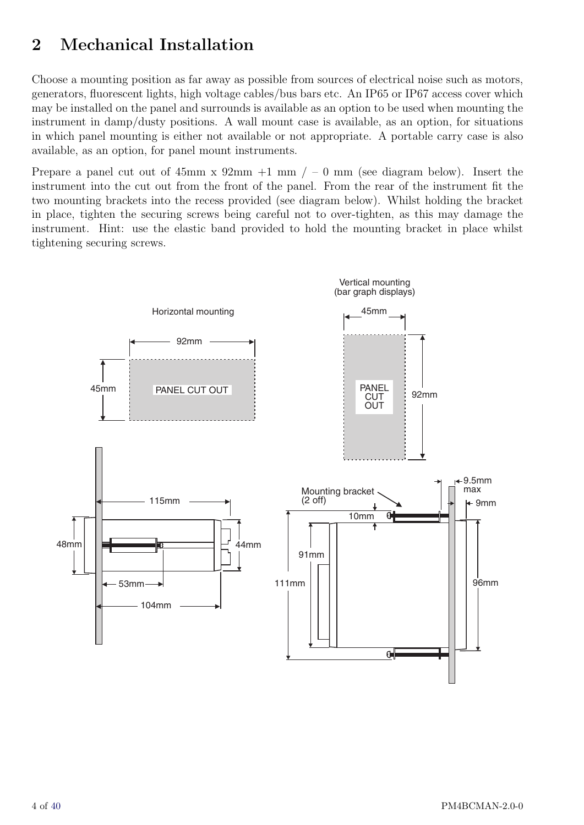# <span id="page-3-0"></span>2 Mechanical Installation

Choose a mounting position as far away as possible from sources of electrical noise such as motors, generators, fluorescent lights, high voltage cables/bus bars etc. An IP65 or IP67 access cover which may be installed on the panel and surrounds is available as an option to be used when mounting the instrument in damp/dusty positions. A wall mount case is available, as an option, for situations in which panel mounting is either not available or not appropriate. A portable carry case is also available, as an option, for panel mount instruments.

Prepare a panel cut out of  $45mm \times 92mm +1 \, \text{mm}$  /  $-0 \, \text{mm}$  (see diagram below). Insert the instrument into the cut out from the front of the panel. From the rear of the instrument fit the two mounting brackets into the recess provided (see diagram below). Whilst holding the bracket in place, tighten the securing screws being careful not to over-tighten, as this may damage the instrument. Hint: use the elastic band provided to hold the mounting bracket in place whilst tightening securing screws.

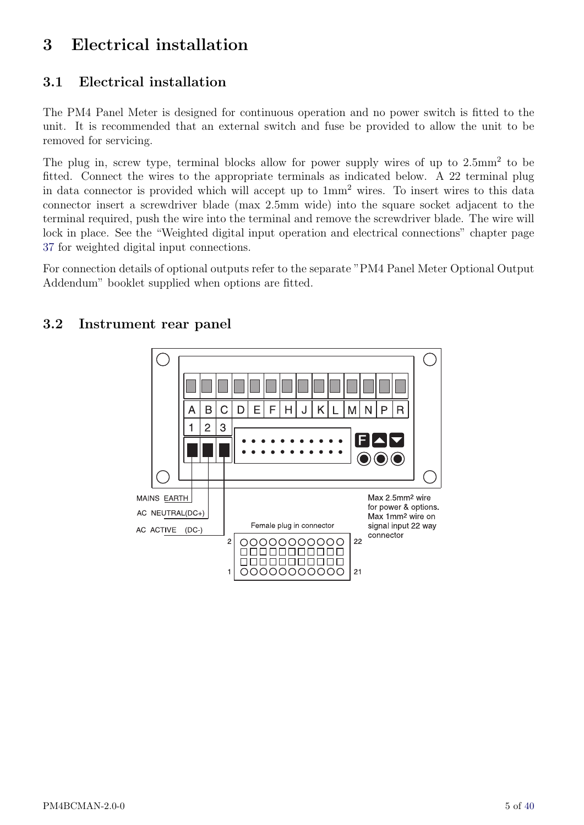# <span id="page-4-0"></span>3 Electrical installation

## 3.1 Electrical installation

The PM4 Panel Meter is designed for continuous operation and no power switch is fitted to the unit. It is recommended that an external switch and fuse be provided to allow the unit to be removed for servicing.

The plug in, screw type, terminal blocks allow for power supply wires of up to  $2.5 \text{mm}^2$  to be fitted. Connect the wires to the appropriate terminals as indicated below. A 22 terminal plug in data connector is provided which will accept up to 1mm<sup>2</sup> wires. To insert wires to this data connector insert a screwdriver blade (max 2.5mm wide) into the square socket adjacent to the terminal required, push the wire into the terminal and remove the screwdriver blade. The wire will lock in place. See the "Weighted digital input operation and electrical connections" chapter page [37](#page-36-0) for weighted digital input connections.

For connection details of optional outputs refer to the separate "PM4 Panel Meter Optional Output Addendum" booklet supplied when options are fitted.



#### 3.2 Instrument rear panel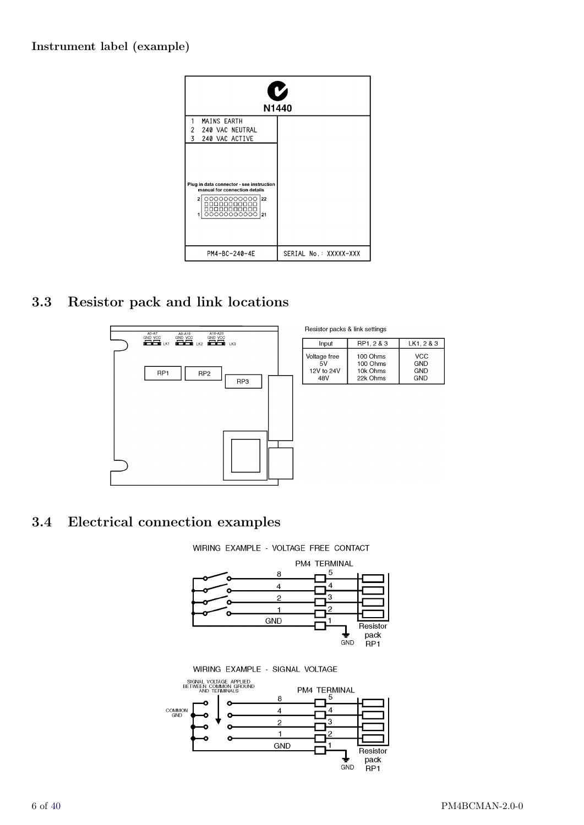#### Instrument label (example)



## 3.3 Resistor pack and link locations



| Input        | RP1, 2 & 3 | LK1.2 & 3  |
|--------------|------------|------------|
| Voltage free | 100 Ohms   | VCC        |
| 5V           | 100 Ohms   | <b>GND</b> |
| 12V to 24V   | 10k Ohms   | GND        |
| 48V          | 22k Ohms   | GND        |

## 3.4 Electrical connection examples

WIRING EXAMPLE - VOLTAGE FREE CONTACT

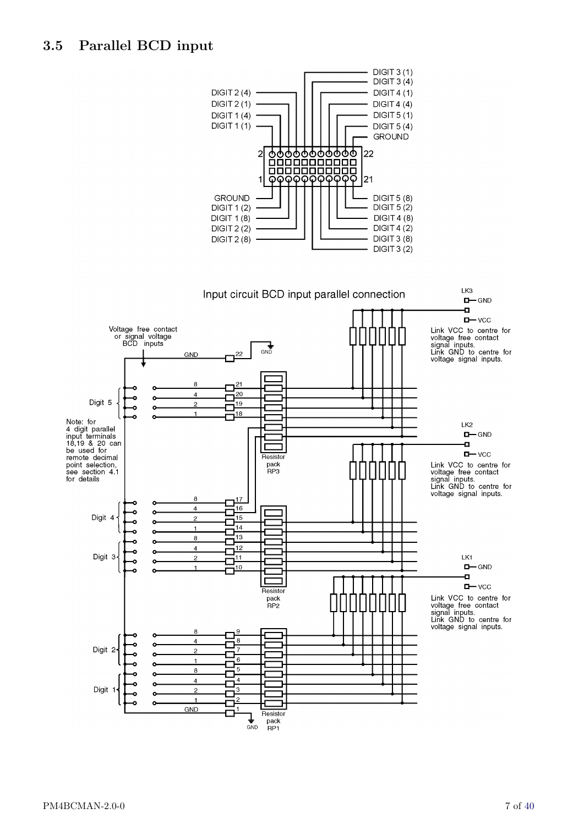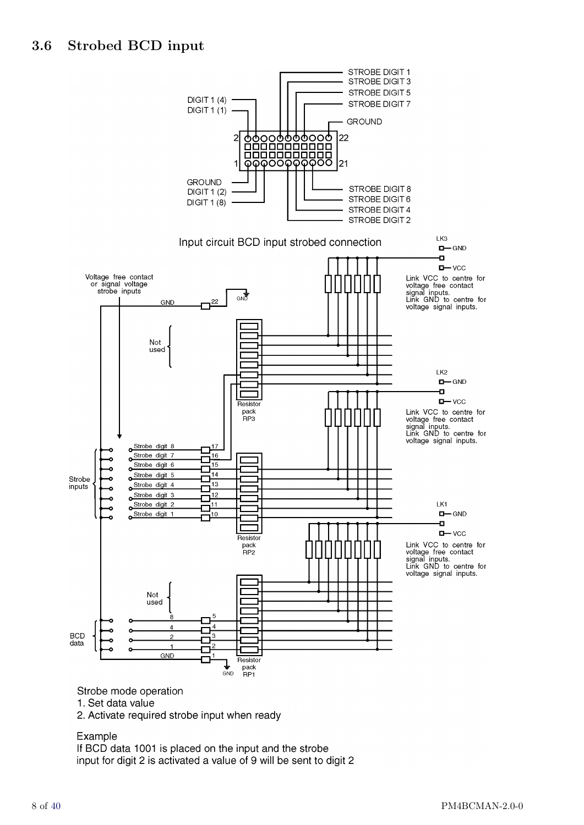

Strobe mode operation

1. Set data value

2. Activate required strobe input when ready

#### Example

If BCD data 1001 is placed on the input and the strobe input for digit 2 is activated a value of 9 will be sent to digit 2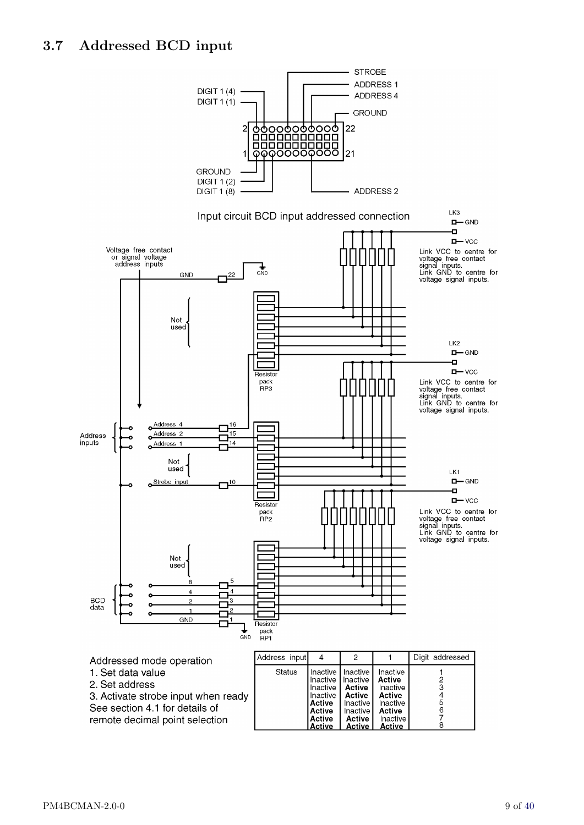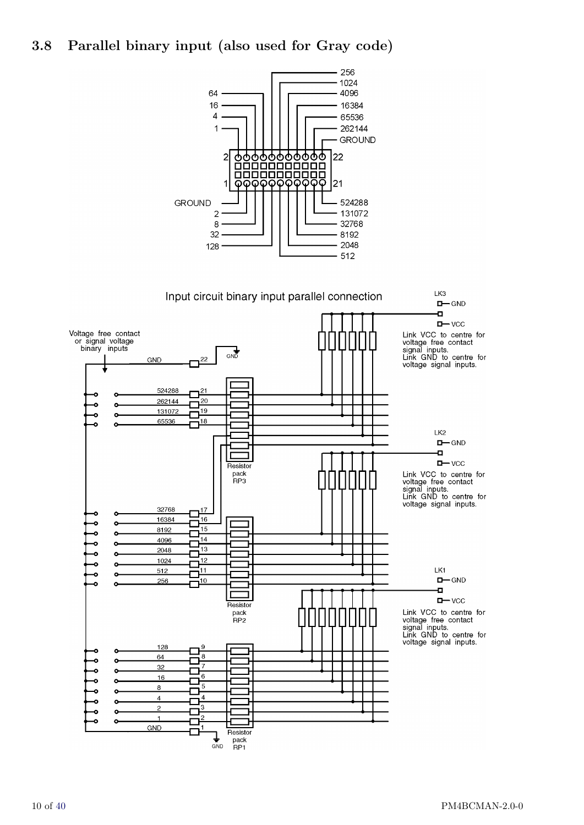## 3.8 Parallel binary input (also used for Gray code)

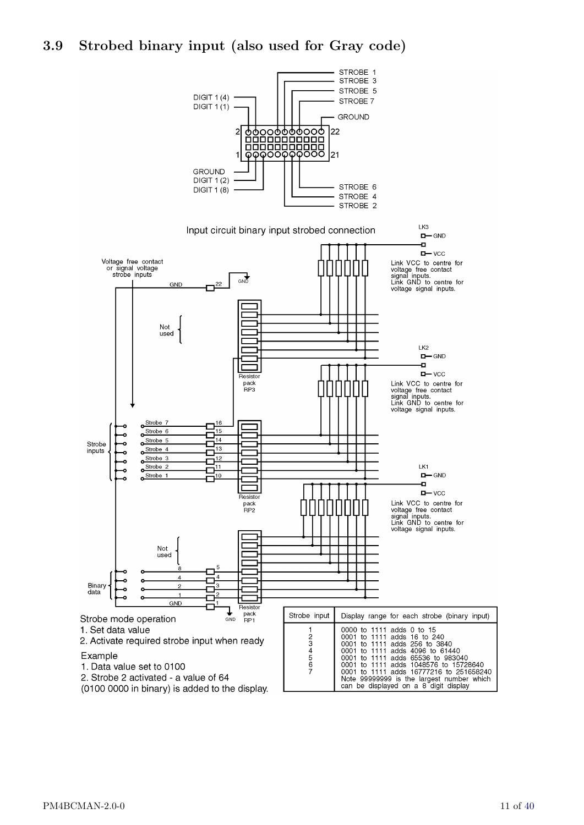## 3.9 Strobed binary input (also used for Gray code)



STROBE 1 STROBE 3

(0100 0000 in binary) is added to the display.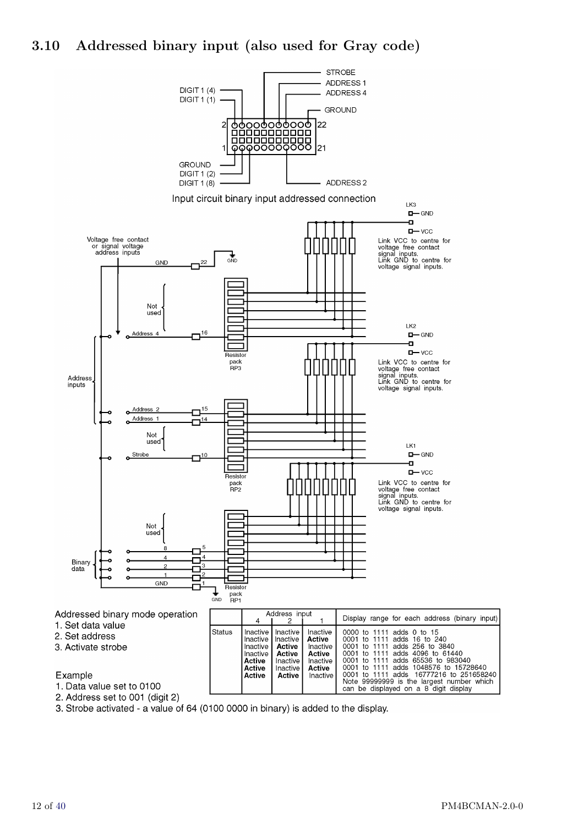

#### Example

1. Data value set to 0100

2. Address set to 001 (digit 2)

3. Strobe activated - a value of 64 (0100 0000 in binary) is added to the display.

**Active** 

Active

Inactive

Note 99999999 is the largest number which

can be displayed on a 8 digit display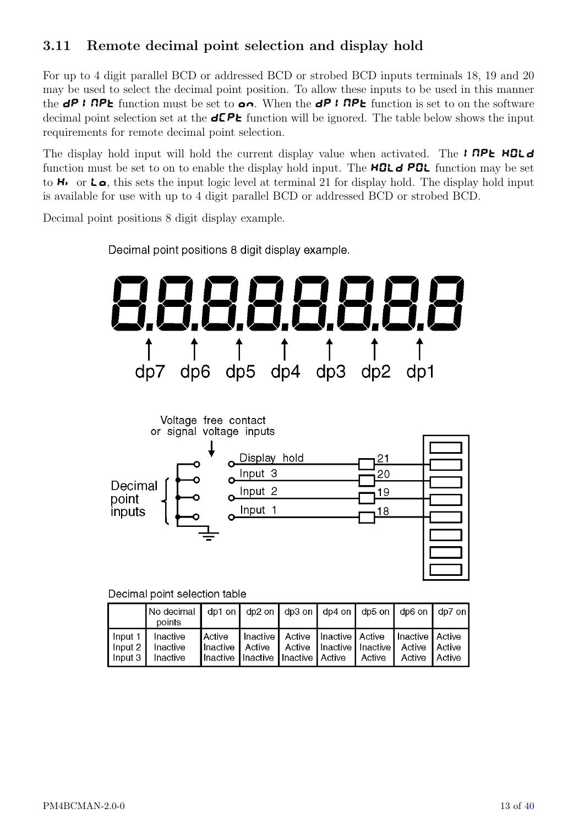## <span id="page-12-0"></span>3.11 Remote decimal point selection and display hold

For up to 4 digit parallel BCD or addressed BCD or strobed BCD inputs terminals 18, 19 and 20 may be used to select the decimal point position. To allow these inputs to be used in this manner the  $dP$  I RPL function must be set to  $\alpha n$ . When the  $dP$  I RPL function is set to on the software decimal point selection set at the  $d\mathsf{CP}$  function will be ignored. The table below shows the input requirements for remote decimal point selection.

The display hold input will hold the current display value when activated. The **INPL HOLD** function must be set to on to enable the display hold input. The **HOL**  $\theta$  **POL** function may be set to  $H_1$  or  $L_2$ , this sets the input logic level at terminal 21 for display hold. The display hold input is available for use with up to 4 digit parallel BCD or addressed BCD or strobed BCD.

Decimal point positions 8 digit display example.



Decimal point positions 8 digit display example.

Decimal point selection table

|                       | No decimal   dp1 on   dp2 on   dp3 on   dp4 on   dp5 on   dp6 on   dp7 on  <br>points |                                                                                    |                                                           |                                        |                        |  |
|-----------------------|---------------------------------------------------------------------------------------|------------------------------------------------------------------------------------|-----------------------------------------------------------|----------------------------------------|------------------------|--|
| Input 1 I<br>lnput 31 | Inactive<br>Input 2   Inactive<br>Inactive                                            | Active<br>Ilnactive I Active<br>Il nactive Il nactive Il nactive I Active I Active | Inactive   Active   Inactive   Active   Inactive   Active | Active Inactive Inactive Active Active | Active <b>  Active</b> |  |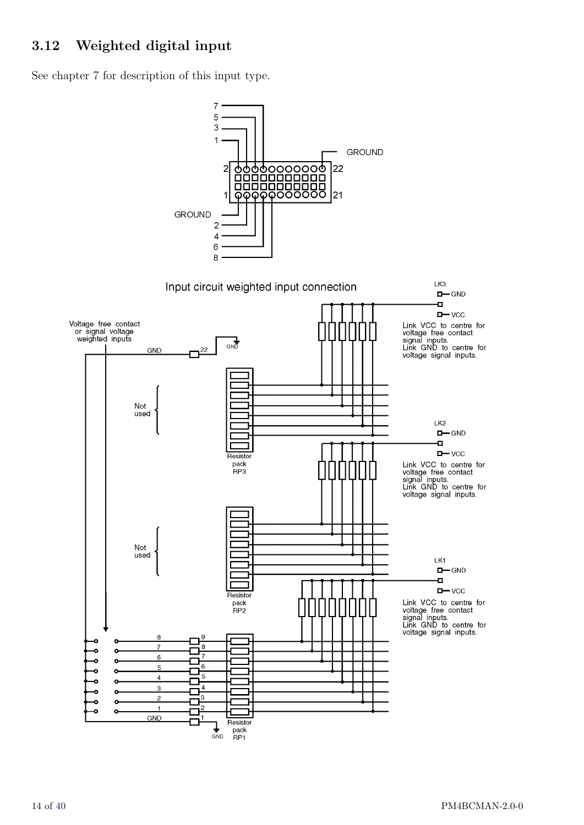## <span id="page-13-0"></span>3.12 Weighted digital input

See chapter [7](#page-36-0) for description of this input type.

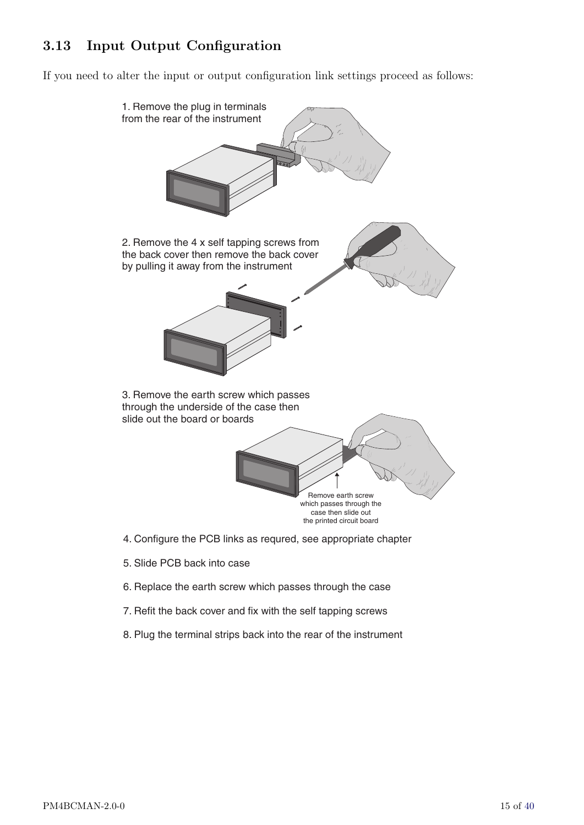## 3.13 Input Output Configuration

If you need to alter the input or output configuration link settings proceed as follows:



- 5. Slide PCB back into case
- 6. Replace the earth screw which passes through the case
- 7. Refit the back cover and fix with the self tapping screws
- 8. Plug the terminal strips back into the rear of the instrument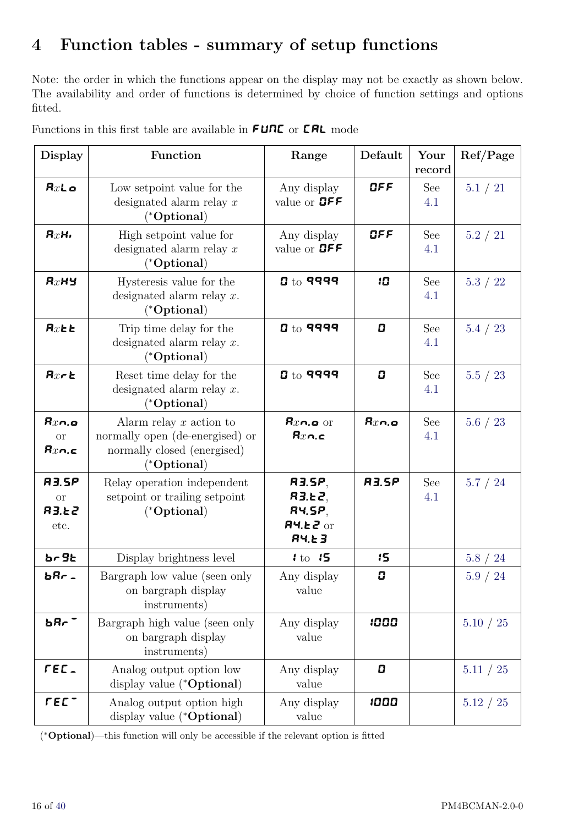# <span id="page-15-0"></span>4 Function tables - summary of setup functions

Note: the order in which the functions appear on the display may not be exactly as shown below. The availability and order of functions is determined by choice of function settings and options fitted.

| <b>Display</b>                                    | Function                                                                                                              | Range                                                     | Default        | Your<br>record | Ref/Page      |
|---------------------------------------------------|-----------------------------------------------------------------------------------------------------------------------|-----------------------------------------------------------|----------------|----------------|---------------|
| $Rx$ Lo                                           | Low set point value for the<br>designated alarm relay $x$<br>$(^{\ast} \text{Optional})$                              | Any display<br>value or <b>OFF</b>                        | CFF            | See<br>4.1     | 5.1 / 21      |
| RxH                                               | High setpoint value for<br>designated alarm relay $x$<br>$(^{\ast} \text{Optional})$                                  | Any display<br>value or <b>OFF</b>                        | OFF            | See<br>4.1     | 5.2 / 21      |
| $Rx$ Hy                                           | Hysteresis value for the<br>designated alarm relay $x$ .<br>$(^{\ast} \text{Optional})$                               | $0$ to 9999                                               | 10             | See<br>4.1     | 5.3 / 22      |
| $Rx$ <sub><math>E</math></sub> $E$                | Trip time delay for the<br>designated alarm relay $x$ .<br>$(^{\ast} \text{Optional})$                                | ${\bf g}$ to 9999                                         | $\overline{a}$ | See<br>4.1     | 5.4 / 23      |
| $Rx \in \mathbb{R}$                               | Reset time delay for the<br>designated alarm relay $x$ .<br>$(*Optional)$                                             | ${\bf g}$ to 9999                                         | $\overline{a}$ | See<br>4.1     | 5.5 / 23      |
| $Rx$ n.o<br><b>or</b><br>$\mathsf{R}x$ n.c        | Alarm relay $x$ action to<br>normally open (de-energised) or<br>normally closed (energised)<br>$(*\textbf{Optional})$ | $Rxn.o$ or<br>$Rx$ n.c                                    | $Rx$ n.o       | See<br>4.1     | 5.6 / 23      |
| <b>R3.5P</b><br><b>or</b><br><b>R3.E2</b><br>etc. | Relay operation independent<br>setpoint or trailing setpoint<br>$(*Optional)$                                         | 83.5P,<br>R3.E2,<br>84.5P,<br>$R$ 4.62 or<br>$R$ 4. $E$ 3 | <b>R3.5P</b>   | See<br>4.1     | 5.7 / 24      |
| br 9t                                             | Display brightness level                                                                                              | 1 to 15                                                   | 15             |                | 5.8 / 24      |
| bRr.                                              | Bargraph low value (seen only<br>on bargraph display<br>instruments)                                                  | Any display<br>value                                      | 0              |                | 5.9 / 24      |
| bRr <sup>-</sup>                                  | Bargraph high value (seen only<br>on bargraph display<br>instruments)                                                 | Any display<br>value                                      | 1000           |                | 5.10 / 25     |
| rec.                                              | Analog output option low<br>display value (* <b>Optional</b> )                                                        | Any display<br>value                                      | 0              |                | 5.11 / 25     |
| LEC -                                             | Analog output option high<br>display value (* <b>Optional</b> )                                                       | Any display<br>value                                      | 1000           |                | $5.12$ / $25$ |

Functions in this first table are available in  ${\sf FURL}$  or  ${\sf LRL}$  mode

( <sup>∗</sup>Optional)—this function will only be accessible if the relevant option is fitted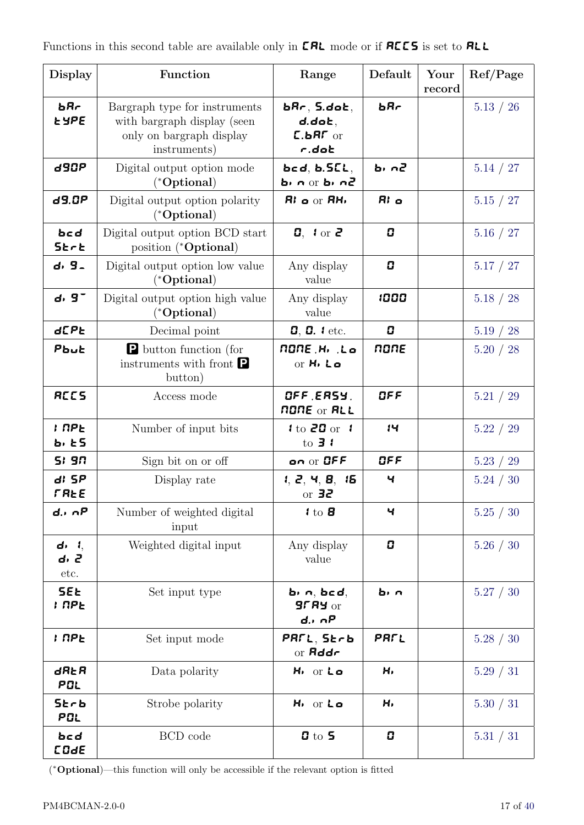| <b>Display</b>                | Function                                                                                                 | Range                                                                                       | Default        | Your<br>record | Ref/Page  |
|-------------------------------|----------------------------------------------------------------------------------------------------------|---------------------------------------------------------------------------------------------|----------------|----------------|-----------|
| bRr<br><b>LYPE</b>            | Bargraph type for instruments<br>with bargraph display (seen<br>only on bargraph display<br>instruments) | $\bm{bR}$ r $, \bm{5}$ .do $\bm{c}, \bm{c}$<br>$d.d$ o $k,$<br>$L$ .bR $\Gamma$ or<br>r.dot | bRr            |                | 5.13 / 26 |
| d90P                          | Digital output option mode<br>$(*$ Optional $)$                                                          | bcd, b.5CL,<br>5n n or <b>b</b> n n 2                                                       | ъ, п2          |                | 5.14 / 27 |
| d9.0P                         | Digital output option polarity<br>$(^*Optional)$                                                         | $Ri$ o or $RHi$                                                                             | R <sub>i</sub> |                | 5.15 / 27 |
| bcd<br><b>SErE</b>            | Digital output option BCD start<br>position (*Optional)                                                  | $\mathbf{0}$ , $\mathbf{1}$ or $\mathbf{2}$                                                 | 0              |                | 5.16 / 27 |
| d, 9 <sub>-</sub>             | Digital output option low value<br>$(*Optional)$                                                         | Any display<br>value                                                                        | 0              |                | 5.17 / 27 |
| $d.9$ <sup>-</sup>            | Digital output option high value<br>$(*$ Optional $)$                                                    | Any display<br>value                                                                        | 1000           |                | 5.18 / 28 |
| <b>d[PE</b>                   | Decimal point                                                                                            | $0, 0.$ <i>l</i> etc.                                                                       | 0              |                | 5.19 / 28 |
| Pbut                          | <b>P</b> button function (for<br>instruments with front $\blacksquare$<br>button)                        | NONE H <sub>1</sub> Lo<br>or H <sub>1</sub> Lo                                              | none           |                | 5.20 / 28 |
| <b>RCCS</b>                   | Access mode                                                                                              | OFF ERSY.<br><b>NONE or ALL</b>                                                             | OFF            |                | 5.21 / 29 |
| I NPE<br>ъ, е5                | Number of input bits                                                                                     | $1$ to 20 or 1<br>to $\overline{3}$ $\overline{1}$                                          | 14             |                | 5.22 / 29 |
| 5: 9n                         | Sign bit on or off                                                                                       | on or OFF                                                                                   | OFF            |                | 5.23 / 29 |
| $d$ 5P<br><b>FREE</b>         | Display rate                                                                                             | 1, 2, 4, 8, 15<br>or $32$                                                                   | Ч              |                | 5.24 / 30 |
| $d \cdot nP$                  | Number of weighted digital<br>input                                                                      | $1$ to $B$                                                                                  | Ч              |                | 5.25 / 30 |
| $d_1$ , $l_2$<br>d, 2<br>etc. | Weighted digital input                                                                                   | Any display<br>value                                                                        | 0              |                | 5.26 / 30 |
| <b>SEE</b><br>: RPE           | Set input type                                                                                           | $b_1$ n, $bcd$ ,<br>$9f$ $R$ $9$ or<br>$d \cdot \cap P$                                     | b, n           |                | 5.27 / 30 |
| i npe                         | Set input mode                                                                                           | PAFL, Strb<br>or $\mathsf{Addr}$                                                            | PRFL           |                | 5.28 / 30 |
| dRŁR<br>POL                   | Data polarity                                                                                            | H <sub>1</sub> or Lo                                                                        | H,             |                | 5.29 / 31 |
| 5krb<br>POL                   | Strobe polarity                                                                                          | H <sub>1</sub> or Lo                                                                        | н,             |                | 5.30 / 31 |
| bcd<br><b>COde</b>            | BCD code                                                                                                 | $5$                                                                                         | 0              |                | 5.31 / 31 |

( <sup>∗</sup>Optional)—this function will only be accessible if the relevant option is fitted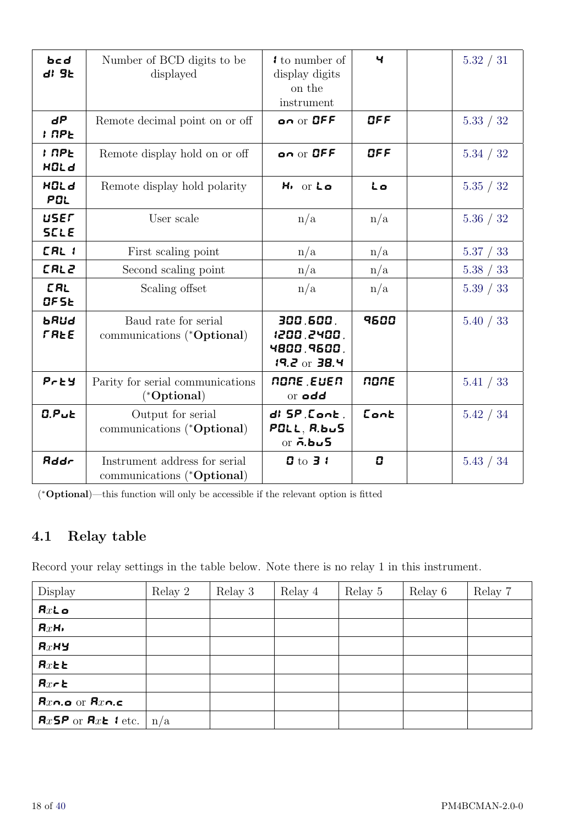<span id="page-17-0"></span>

| bcd<br>$di$ $9k$            | Number of BCD digits to be<br>displayed                              | I to number of<br>display digits<br>on the<br>instrument  | ч    | 5.32 / 31 |
|-----------------------------|----------------------------------------------------------------------|-----------------------------------------------------------|------|-----------|
| dΡ<br><b>I</b> NPE          | Remote decimal point on or off                                       | on or OFF                                                 | QFF  | 5.33 / 32 |
| <b>I</b> NPE<br><b>HOLd</b> | Remote display hold on or off                                        | on or OFF                                                 | GFF  | 5.34 / 32 |
| <b>HOLd</b><br>POL          | Remote display hold polarity                                         | H <sub>1</sub> or Lo                                      | Lo   | 5.35 / 32 |
| user<br><b>SCLE</b>         | User scale                                                           | n/a                                                       | n/a  | 5.36 / 32 |
| [RL 1                       | First scaling point                                                  | n/a                                                       | n/a  | 5.37 / 33 |
| <b>CAL2</b>                 | Second scaling point                                                 | n/a                                                       | n/a  | 5.38 / 33 |
| <b>CRL</b><br>OF5E          | Scaling offset                                                       | n/a                                                       | n/a  | 5.39 / 33 |
| bRud<br><b>FREE</b>         | Baud rate for serial<br>communications (* <b>Optional</b> )          | 300.600.<br>1200.2400.<br>4800,9600,<br>$19.2$ or 38.4    | 9500 | 5.40 / 33 |
| $P$ $E$ $Y$                 | Parity for serial communications<br>$(*\textbf{Optional})$           | none Euen<br>or add                                       | none | 5.41 / 33 |
| $0.P$ <sub>u</sub> $E$      | Output for serial<br>communications (*Optional)                      | $d!$ $5P$ , $Cont$ ,<br>PGLL, R.b. S<br>or $\bar{n}$ .bus | Cont | 5.42 / 34 |
| <b>Rddr</b>                 | Instrument address for serial<br>communications (* <b>Optional</b> ) | $0$ to $31$                                               | 0    | 5.43 / 34 |

( <sup>∗</sup>Optional)—this function will only be accessible if the relevant option is fitted

## 4.1 Relay table

Record your relay settings in the table below. Note there is no relay 1 in this instrument.

| Display                            | Relay 2 | Relay 3 | Relay 4 | Relay 5 | Relay 6 | Relay 7 |
|------------------------------------|---------|---------|---------|---------|---------|---------|
| $Rx$ Lo                            |         |         |         |         |         |         |
| RxH                                |         |         |         |         |         |         |
| $Rx$ Hy                            |         |         |         |         |         |         |
| $Rx$ <sub><math>E</math></sub> $E$ |         |         |         |         |         |         |
| $Rx \in \mathbb{R}$                |         |         |         |         |         |         |
| $Rx$ n.o or $Rx$ n.c               |         |         |         |         |         |         |
| $Rx5P$ or $RxE$ i etc.             | n/a     |         |         |         |         |         |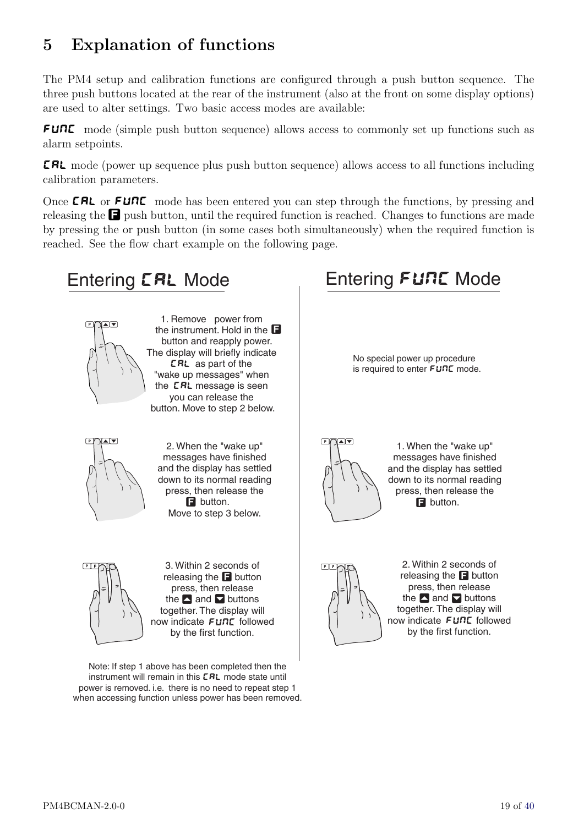# <span id="page-18-0"></span>5 Explanation of functions

The PM4 setup and calibration functions are configured through a push button sequence. The three push buttons located at the rear of the instrument (also at the front on some display options) are used to alter settings. Two basic access modes are available:

FUNC mode (simple push button sequence) allows access to commonly set up functions such as alarm setpoints.

CAL mode (power up sequence plus push button sequence) allows access to all functions including calibration parameters.

Once **CAL** or **FUNC** mode has been entered you can step through the functions, by pressing and releasing the  $\Box$  push button, until the required function is reached. Changes to functions are made by pressing the or push button (in some cases both simultaneously) when the required function is reached. See the flow chart example on the following page.



1. Remove power from the instrument. Hold in the **D** button and reapply power. The display will briefly indicate **ERL** as part of the "wake up messages" when the LRL message is seen you can release the button. Move to step 2 below.



 $\mathbb{P} \left[ \sqrt{\frac{A \cdot \mathbf{v}}{A}} \right]$  2. When the "wake up" messages have finished and the display has settled down to its normal reading press, then release the **B** button.  $\qquad \qquad \begin{array}{c} | \ | \ | \end{array}$   $\qquad \qquad \begin{array}{c} | \ | \end{array}$ Move to step 3 below.



PIF F GRI SA Within 2 seconds of The PIF PIF releasing the  $\blacksquare$  button press, then release the  $\blacktriangle$  and  $\blacktriangledown$  buttons  $\ket{\varphi}\vee\ket{\setminus}$  the  $\blacktriangle$ together. The display will now indicate FURE followed by the first function.

Note: If step 1 above has been completed then the instrument will remain in this **ERL** mode state until power is removed. i.e. there is no need to repeat step 1 when accessing function unless power has been removed.

# Entering **CAL** Mode Entering FUNC Mode

No special power up procedure is required to enter  $FUTL$  mode.



1. When the "wake up" messages have finished and the display has settled down to its normal reading press, then release the **E** button.



2. Within 2 seconds of **E** button  $\begin{bmatrix} \begin{bmatrix} 1 \end{bmatrix} & \begin{bmatrix} 1 \end{bmatrix} & \begin{bmatrix} 1 \end{bmatrix} & \begin{bmatrix} 1 \end{bmatrix} & \begin{bmatrix} 1 \end{bmatrix} & \begin{bmatrix} 1 \end{bmatrix} & \begin{bmatrix} 1 \end{bmatrix} & \begin{bmatrix} 1 \end{bmatrix} & \begin{bmatrix} 1 \end{bmatrix} & \begin{bmatrix} 1 \end{bmatrix} & \begin{bmatrix} 1 \end{bmatrix} & \begin{bmatrix} 1 \end{bmatrix} & \begin{bmatrix} 1 \end{bmatrix} & \begin{bmatrix} 1$ press, then release  $\blacksquare$  buttons  $\blacksquare$   $\Downarrow$   $\Downarrow$   $\Downarrow$   $\Downarrow$  the  $\blacksquare$  and  $\blacksquare$  buttons together. The display will FUNC followed  $\begin{pmatrix} 1 & 0 \\ 0 & 1 \end{pmatrix}$  now indicate FUNC followed by the first function.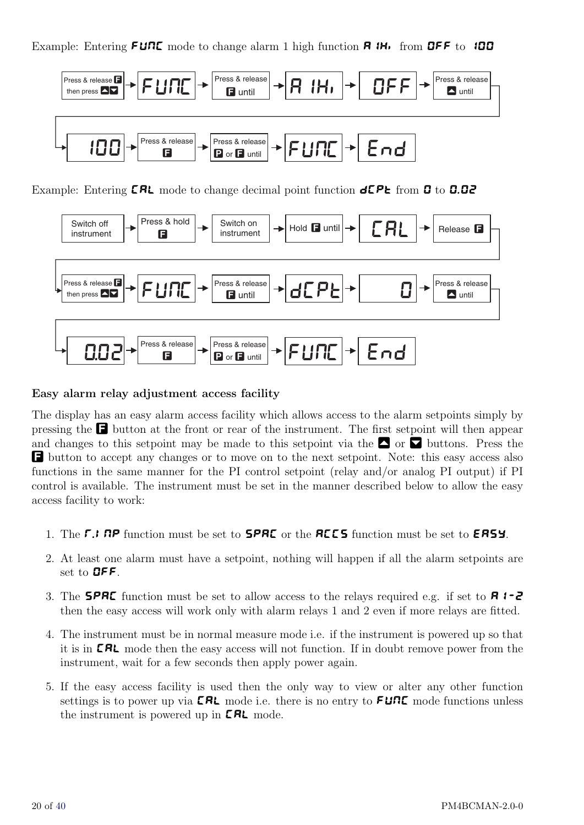Example: Entering  $F \cup R$  mode to change alarm 1 high function  $R \cup R$  from OFF to 100



Example: Entering  $CRL$  mode to change decimal point function  $dCPE$  from  $D$  to  $D.DZ$ 



#### Easy alarm relay adjustment access facility

The display has an easy alarm access facility which allows access to the alarm setpoints simply by pressing the  $\Box$  button at the front or rear of the instrument. The first setpoint will then appear and changes to this setpoint may be made to this setpoint via the  $\blacksquare$  or  $\blacksquare$  buttons. Press the F button to accept any changes or to move on to the next setpoint. Note: this easy access also functions in the same manner for the PI control setpoint (relay and/or analog PI output) if PI control is available. The instrument must be set in the manner described below to allow the easy access facility to work:

- 1. The  $\Gamma$ . InP function must be set to **SPAC** or the **ACCS** function must be set to **EASY**.
- 2. At least one alarm must have a setpoint, nothing will happen if all the alarm setpoints are set to OFF.
- 3. The **SPRE** function must be set to allow access to the relays required e.g. if set to **R**  $\mathbf{1}$  2 then the easy access will work only with alarm relays 1 and 2 even if more relays are fitted.
- 4. The instrument must be in normal measure mode i.e. if the instrument is powered up so that it is in **CRL** mode then the easy access will not function. If in doubt remove power from the instrument, wait for a few seconds then apply power again.
- 5. If the easy access facility is used then the only way to view or alter any other function settings is to power up via **CRL** mode i.e. there is no entry to **FUNC** mode functions unless the instrument is powered up in  $\textsf{CRL}$  mode.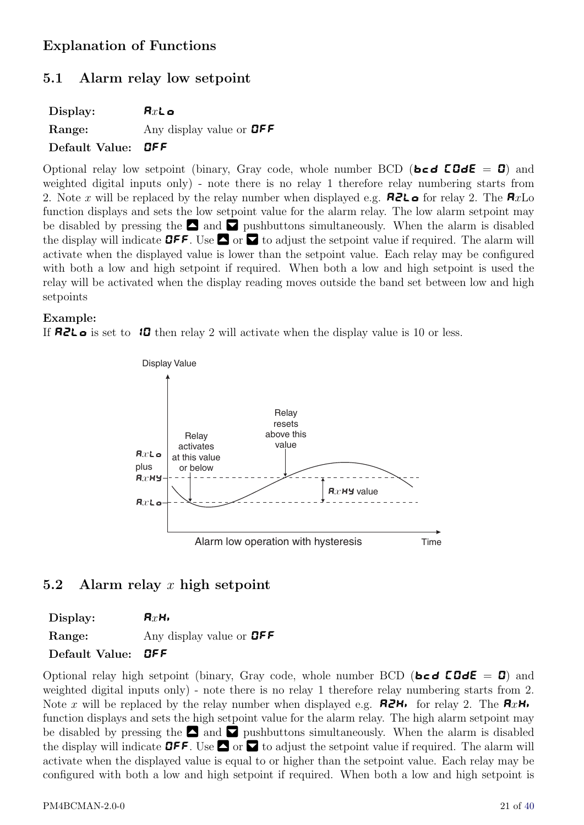## <span id="page-20-0"></span>Explanation of Functions

#### 5.1 Alarm relay low setpoint

| Display:                  | $Rx$ Lo                             |
|---------------------------|-------------------------------------|
| Range:                    | Any display value or $\mathbf{QFF}$ |
| Default Value: <b>OFF</b> |                                     |

Optional relay low setpoint (binary, Gray code, whole number BCD (**bcd COdE = 0**) and weighted digital inputs only) - note there is no relay 1 therefore relay numbering starts from 2. Note x will be replaced by the relay number when displayed e.g. **R2L** of or relay 2. The **R**xLo function displays and sets the low setpoint value for the alarm relay. The low alarm setpoint may be disabled by pressing the  $\Box$  and  $\Box$  pushbuttons simultaneously. When the alarm is disabled the display will indicate **OFF**. Use  $\Box$  or  $\Box$  to adjust the setpoint value if required. The alarm will activate when the displayed value is lower than the setpoint value. Each relay may be configured with both a low and high setpoint if required. When both a low and high setpoint is used the relay will be activated when the display reading moves outside the band set between low and high setpoints

#### Example:

If **A2L** is set to **10** then relay 2 will activate when the display value is 10 or less.



#### 5.2 Alarm relay x high setpoint

Display:  $R_xH_y$ Range: Any display value or **OFF** Default Value: OFF

Optional relay high setpoint (binary, Gray code, whole number BCD (**bcd COdE** = **0**) and weighted digital inputs only) - note there is no relay 1 therefore relay numbering starts from 2. Note x will be replaced by the relay number when displayed e.g.  $\mathbf{R} \mathbf{2H}$  for relay 2. The  $\mathbf{R} \mathbf{xH}$ . function displays and sets the high setpoint value for the alarm relay. The high alarm setpoint may be disabled by pressing the  $\Box$  and  $\Box$  pushbuttons simultaneously. When the alarm is disabled the display will indicate **OFF**. Use  $\blacksquare$  or  $\blacksquare$  to adjust the setpoint value if required. The alarm will activate when the displayed value is equal to or higher than the setpoint value. Each relay may be configured with both a low and high setpoint if required. When both a low and high setpoint is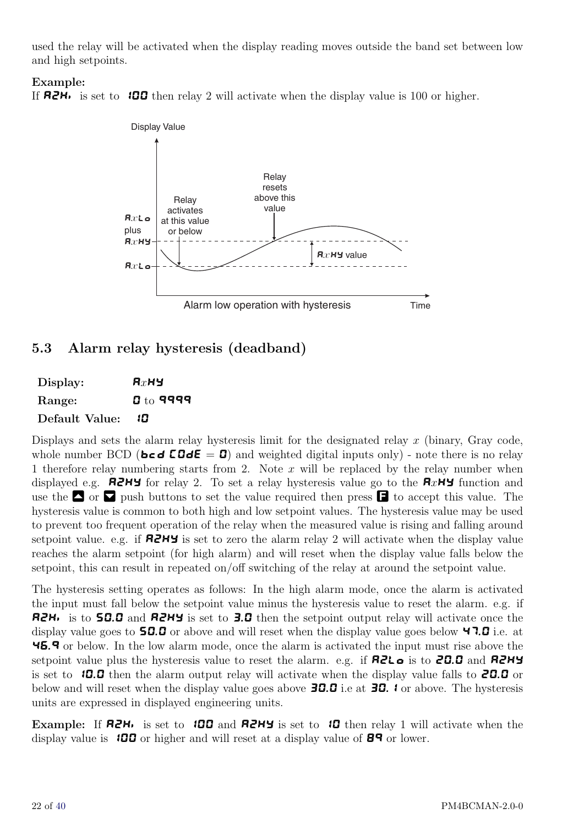<span id="page-21-0"></span>used the relay will be activated when the display reading moves outside the band set between low and high setpoints.

#### Example:

If  $R2H_i$  is set to 100 then relay 2 will activate when the display value is 100 or higher.



#### 5.3 Alarm relay hysteresis (deadband)

| Display:       | $R_X$ Hy          |
|----------------|-------------------|
| Range:         | ${\bf 0}$ to 9999 |
| Default Value: | 10                |

Displays and sets the alarm relay hysteresis limit for the designated relay  $x$  (binary, Gray code, whole number BCD (**bcd COdE = 0**) and weighted digital inputs only) - note there is no relay 1 therefore relay numbering starts from 2. Note  $x$  will be replaced by the relay number when displayed e.g. **AZHY** for relay 2. To set a relay hysteresis value go to the  $\mathbf{R}x$ HY function and use the  $\bullet$  or  $\bullet$  push buttons to set the value required then press  $\bullet$  to accept this value. The hysteresis value is common to both high and low setpoint values. The hysteresis value may be used to prevent too frequent operation of the relay when the measured value is rising and falling around setpoint value. e.g. if  $R2HY$  is set to zero the alarm relay 2 will activate when the display value reaches the alarm setpoint (for high alarm) and will reset when the display value falls below the setpoint, this can result in repeated on/off switching of the relay at around the setpoint value.

The hysteresis setting operates as follows: In the high alarm mode, once the alarm is activated the input must fall below the setpoint value minus the hysteresis value to reset the alarm. e.g. if A2Hi is to 50.0 and A2Hy is set to 3.0 then the setpoint output relay will activate once the display value goes to  $50.0$  or above and will reset when the display value goes below 47.0 i.e. at 46.9 or below. In the low alarm mode, once the alarm is activated the input must rise above the setpoint value plus the hysteresis value to reset the alarm. e.g. if  $R2L \bullet$  is to 20.0 and R2HY is set to  $10.0$  then the alarm output relay will activate when the display value falls to **20.0** or below and will reset when the display value goes above  $\overline{30.0}$  i.e at  $\overline{30.1}$  or above. The hysteresis units are expressed in displayed engineering units.

Example: If  $R2H_1$  is set to 100 and  $R2H_2$  is set to 10 then relay 1 will activate when the display value is **100** or higher and will reset at a display value of  $\mathbf{B}^q$  or lower.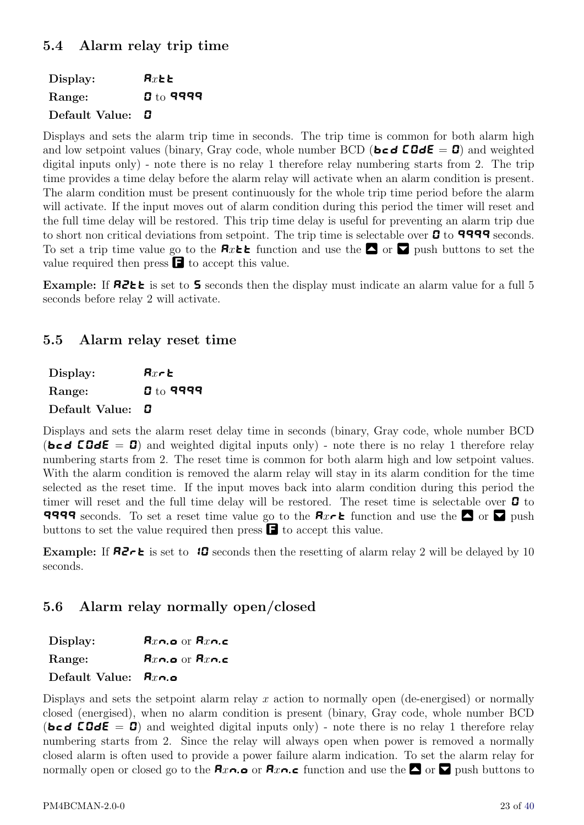<span id="page-22-0"></span>

| Display:       | $\mathbf{R}x$ bb  |
|----------------|-------------------|
| Range:         | ${\bf 3}$ to 9999 |
| Default Value: | D.                |

Displays and sets the alarm trip time in seconds. The trip time is common for both alarm high and low setpoint values (binary, Gray code, whole number BCD (**bcd COdE = 0**) and weighted digital inputs only) - note there is no relay 1 therefore relay numbering starts from 2. The trip time provides a time delay before the alarm relay will activate when an alarm condition is present. The alarm condition must be present continuously for the whole trip time period before the alarm will activate. If the input moves out of alarm condition during this period the timer will reset and the full time delay will be restored. This trip time delay is useful for preventing an alarm trip due to short non critical deviations from setpoint. The trip time is selectable over  $\mathbf G$  to 9999 seconds. To set a trip time value go to the  $\mathbf{R}x\mathbf{t}$  function and use the  $\blacksquare$  or  $\blacksquare$  push buttons to set the value required then press  $\blacksquare$  to accept this value.

Example: If  $R2 \leq k$  is set to 5 seconds then the display must indicate an alarm value for a full 5 seconds before relay 2 will activate.

#### 5.5 Alarm relay reset time

| Display:       | $Rx$ r $\epsilon$ |
|----------------|-------------------|
| Range:         | ${\bf g}$ to 9999 |
| Default Value: | O                 |

Displays and sets the alarm reset delay time in seconds (binary, Gray code, whole number BCD (bcd  $\textbf{\textit{EGdE}} = 0$ ) and weighted digital inputs only) - note there is no relay 1 therefore relay numbering starts from 2. The reset time is common for both alarm high and low setpoint values. With the alarm condition is removed the alarm relay will stay in its alarm condition for the time selected as the reset time. If the input moves back into alarm condition during this period the timer will reset and the full time delay will be restored. The reset time is selectable over  $\boldsymbol{B}$  to **9999** seconds. To set a reset time value go to the  $\mathbf{R}x \cdot \mathbf{k}$  function and use the  $\Box$  or  $\Box$  push buttons to set the value required then press  $\blacksquare$  to accept this value.

Example: If  $\mathbf{R} \mathbf{Z} \uparrow \mathbf{E}$  is set to  $\mathbf{B}$  seconds then the resetting of alarm relay 2 will be delayed by 10 seconds.

## 5.6 Alarm relay normally open/closed

Display:  $\mathbf{R}x \cap \mathbf{Q}$  or  $\mathbf{R}x \cap \mathbf{C}$ Range:  $\mathbf{R}x \cap \mathbf{a}$  or  $\mathbf{R}x \cap \mathbf{c}$ 

#### Default Value:  $R_{x_0}$

Displays and sets the setpoint alarm relay x action to normally open (de-energised) or normally closed (energised), when no alarm condition is present (binary, Gray code, whole number BCD (bcd  $\text{CGdE} = 0$ ) and weighted digital inputs only) - note there is no relay 1 therefore relay numbering starts from 2. Since the relay will always open when power is removed a normally closed alarm is often used to provide a power failure alarm indication. To set the alarm relay for normally open or closed go to the  $\mathbf{R}_{x}$  or  $\mathbf{R}_{x}$  or  $\mathbf{R}_{x}$  function and use the  $\bullet$  or  $\bullet$  push buttons to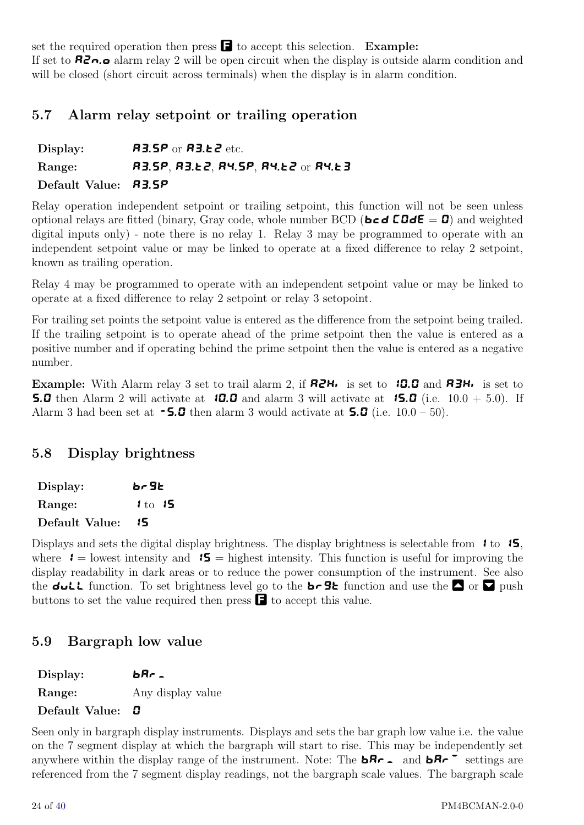<span id="page-23-0"></span>set the required operation then press  $\blacksquare$  to accept this selection. Example: If set to  $\mathbf{R}$ <sub>n</sub>.o alarm relay 2 will be open circuit when the display is outside alarm condition and will be closed (short circuit across terminals) when the display is in alarm condition.

#### 5.7 Alarm relay setpoint or trailing operation

| Display:                    | $R3.5P$ or $R3.12$ etc.             |
|-----------------------------|-------------------------------------|
| Range:                      | R3.5P, R3.62, R4.5P, R4.62 or R4.63 |
| Default Value: <b>R3.5P</b> |                                     |

Relay operation independent setpoint or trailing setpoint, this function will not be seen unless optional relays are fitted (binary, Gray code, whole number BCD (**bcd COdE = 0**) and weighted digital inputs only) - note there is no relay 1. Relay 3 may be programmed to operate with an independent setpoint value or may be linked to operate at a fixed difference to relay 2 setpoint, known as trailing operation.

Relay 4 may be programmed to operate with an independent setpoint value or may be linked to operate at a fixed difference to relay 2 setpoint or relay 3 setopoint.

For trailing set points the setpoint value is entered as the difference from the setpoint being trailed. If the trailing setpoint is to operate ahead of the prime setpoint then the value is entered as a positive number and if operating behind the prime setpoint then the value is entered as a negative number.

**Example:** With Alarm relay 3 set to trail alarm 2, if  $R2H_i$  is set to 10.0 and  $R3H_i$  is set to **5.0** then Alarm 2 will activate at **10.0** and alarm 3 will activate at **15.0** (i.e.  $10.0 + 5.0$ ). If Alarm 3 had been set at  $\sim 5.0$  then alarm 3 would activate at  $\sim 5.0$  (i.e. 10.0 – 50).

#### 5.8 Display brightness

| Display:       | br 96       |
|----------------|-------------|
| <b>Range:</b>  | $1$ to $15$ |
| Default Value: | 15          |

Displays and sets the digital display brightness. The display brightness is selectable from  $\mathbf{1}$  to  $\mathbf{15}$ , where  $1 =$  lowest intensity and  $15 =$  highest intensity. This function is useful for improving the display readability in dark areas or to reduce the power consumption of the instrument. See also the dull function. To set brightness level go to the **b**  $\overline{\mathbf{S}}$  function and use the  $\overline{\mathbf{S}}$  or  $\overline{\mathbf{V}}$  push buttons to set the value required then press  $\blacksquare$  to accept this value.

#### 5.9 Bargraph low value

| Display:       | b8r.              |
|----------------|-------------------|
| Range:         | Any display value |
| Default Value: |                   |

Seen only in bargraph display instruments. Displays and sets the bar graph low value i.e. the value on the 7 segment display at which the bargraph will start to rise. This may be independently set anywhere within the display range of the instrument. Note: The **bRr** and **bRr**  $\overline{\phantom{a}}$  settings are referenced from the 7 segment display readings, not the bargraph scale values. The bargraph scale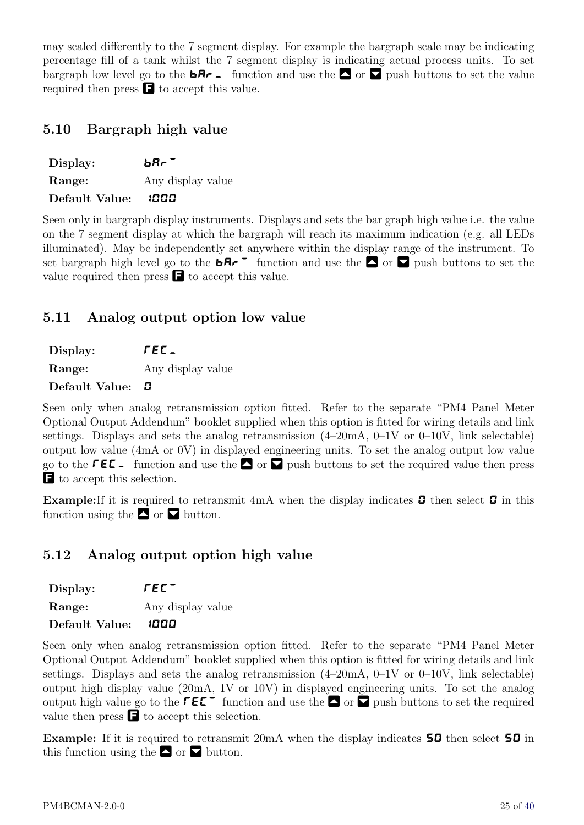<span id="page-24-0"></span>may scaled differently to the 7 segment display. For example the bargraph scale may be indicating percentage fill of a tank whilst the 7 segment display is indicating actual process units. To set bargraph low level go to the  $\mathbf{bR}_{r}$  function and use the  $\bullet$  or v push buttons to set the value required then press  $\blacksquare$  to accept this value.

#### 5.10 Bargraph high value

| Display:       | bar -             |
|----------------|-------------------|
| Range:         | Any display value |
| Default Value: | 1000              |

Seen only in bargraph display instruments. Displays and sets the bar graph high value i.e. the value on the 7 segment display at which the bargraph will reach its maximum indication (e.g. all LEDs illuminated). May be independently set anywhere within the display range of the instrument. To set bargraph high level go to the  $\mathbf{b} \mathbf{R} \cdot \mathbf{r}$  function and use the  $\mathbf{a}$  or  $\mathbf{b}$  push buttons to set the value required then press  $\blacksquare$  to accept this value.

## 5.11 Analog output option low value

Display:  $\sqrt{E\mathcal{L}}$ Range: Any display value

Default Value: **0** 

Seen only when analog retransmission option fitted. Refer to the separate "PM4 Panel Meter Optional Output Addendum" booklet supplied when this option is fitted for wiring details and link settings. Displays and sets the analog retransmission  $(4-20mA, 0-1V)$  or  $(0-10V, \text{link}$  selectable) output low value (4mA or 0V) in displayed engineering units. To set the analog output low value go to the  $\mathsf{F}\mathsf{E}\mathsf{E}_\mathsf{A}$  function and use the  $\mathsf{A}$  or v push buttons to set the required value then press F to accept this selection.

**Example:** If it is required to retransmit 4mA when the display indicates  $\mathbf{G}$  then select  $\mathbf{G}$  in this function using the  $\blacksquare$  or  $\blacksquare$  button.

## 5.12 Analog output option high value

| Display:                   | FEE -             |
|----------------------------|-------------------|
| Range:                     | Any display value |
| Default Value: <b>1000</b> |                   |

Seen only when analog retransmission option fitted. Refer to the separate "PM4 Panel Meter Optional Output Addendum" booklet supplied when this option is fitted for wiring details and link settings. Displays and sets the analog retransmission  $(4-20mA, 0-1V)$  or  $(0-10V,$  link selectable) output high display value (20mA, 1V or 10V) in displayed engineering units. To set the analog output high value go to the  $\mathsf{F}\mathsf{E}\mathsf{E}^-$  function and use the  $\blacksquare$  or  $\blacksquare$  push buttons to set the required value then press  $\blacksquare$  to accept this selection.

Example: If it is required to retransmit 20mA when the display indicates 50 then select 50 in this function using the  $\blacksquare$  or  $\blacksquare$  button.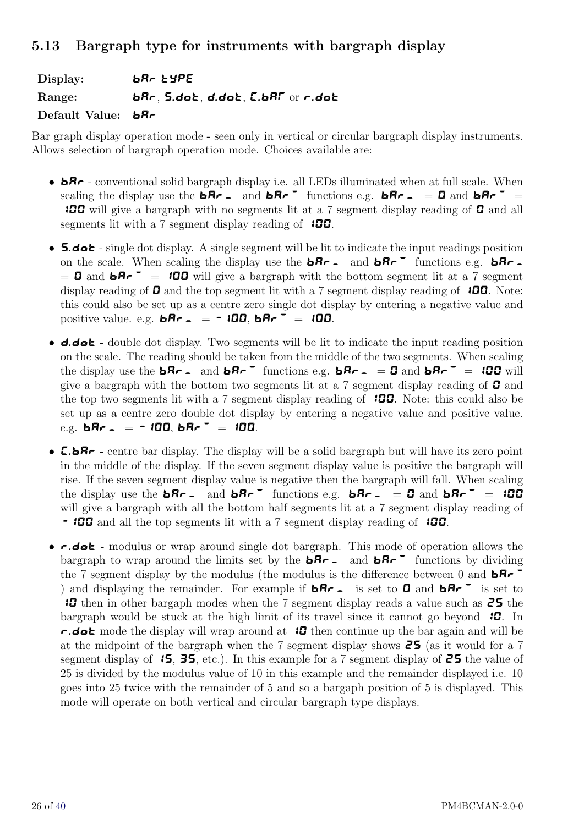#### <span id="page-25-0"></span>5.13 Bargraph type for instruments with bargraph display

Display: **bRr type** Range: **bRr, S.dot, d.dot, C.bRF** or r.dot Default Value: **bBr** 

Bar graph display operation mode - seen only in vertical or circular bargraph display instruments. Allows selection of bargraph operation mode. Choices available are:

- $\mathbf{b}$ <sub>r</sub> conventional solid bargraph display i.e. all LEDs illuminated when at full scale. When scaling the display use the **bRr** - and **bRr** functions e.g. **bRr** -  $=$  **0** and **bRr** = **100** will give a bargraph with no segments lit at a 7 segment display reading of **0** and all segments lit with a 7 segment display reading of  $100$ .
- **5.dot** single dot display. A single segment will be lit to indicate the input readings position on the scale. When scaling the display use the  $bRr$  and  $bRr$ <sup>-</sup> functions e.g.  $bRr$ - $= 0$  and  $\mathbf{b} \mathbf{R} \cdot \mathbf{r} = 100$  will give a bargraph with the bottom segment lit at a 7 segment display reading of  $\Box$  and the top segment lit with a 7 segment display reading of  $\Box$  100. Note: this could also be set up as a centre zero single dot display by entering a negative value and positive value. e.g.  $\mathbf{b} \mathbf{R} \cdot \mathbf{A} = -100$ ,  $\mathbf{b} \mathbf{R} \cdot \mathbf{A} = 100$ .
- **d.dot** double dot display. Two segments will be lit to indicate the input reading position on the scale. The reading should be taken from the middle of the two segments. When scaling the display use the **bRr** - and **bRr**<sup>-</sup> functions e.g. **bRr** -  $= 0$  and **bRr**<sup>-</sup> = 100 will give a bargraph with the bottom two segments lit at a 7 segment display reading of  $\boldsymbol{G}$  and the top two segments lit with a 7 segment display reading of  $\Box$  100. Note: this could also be set up as a centre zero double dot display by entering a negative value and positive value. e.g.  $bRr = -100$ ,  $bRr^{\dagger} = 100$ .
- **C.bR** centre bar display. The display will be a solid bargraph but will have its zero point in the middle of the display. If the seven segment display value is positive the bargraph will rise. If the seven segment display value is negative then the bargraph will fall. When scaling the display use the **bRr** - and **bRr**<sup>-</sup> functions e.g. **bRr**- = 0 and **bRr**<sup>-</sup> = 100 will give a bargraph with all the bottom half segments lit at a 7 segment display reading of - **100** and all the top segments lit with a 7 segment display reading of **100**.
- $\epsilon$  dot modulus or wrap around single dot bargraph. This mode of operation allows the bargraph to wrap around the limits set by the  $bRr -$  and  $bRr -$  functions by dividing the 7 segment display by the modulus (the modulus is the difference between 0 and  $\mathbf{b} \mathbf{R} \mathbf{r}^{-1}$ ) and displaying the remainder. For example if  $bRr -$  is set to 0 and  $bRr -$  is set to 10 then in other bargaph modes when the 7 segment display reads a value such as 25 the bargraph would be stuck at the high limit of its travel since it cannot go beyond  $\mathbf{10}$ . In r.dot mode the display will wrap around at  $10$  then continue up the bar again and will be at the midpoint of the bargraph when the 7 segment display shows  $\overline{25}$  (as it would for a 7 segment display of  $\overline{15}$ ,  $\overline{35}$ , etc.). In this example for a 7 segment display of  $\overline{25}$  the value of 25 is divided by the modulus value of 10 in this example and the remainder displayed i.e. 10 goes into 25 twice with the remainder of 5 and so a bargaph position of 5 is displayed. This mode will operate on both vertical and circular bargraph type displays.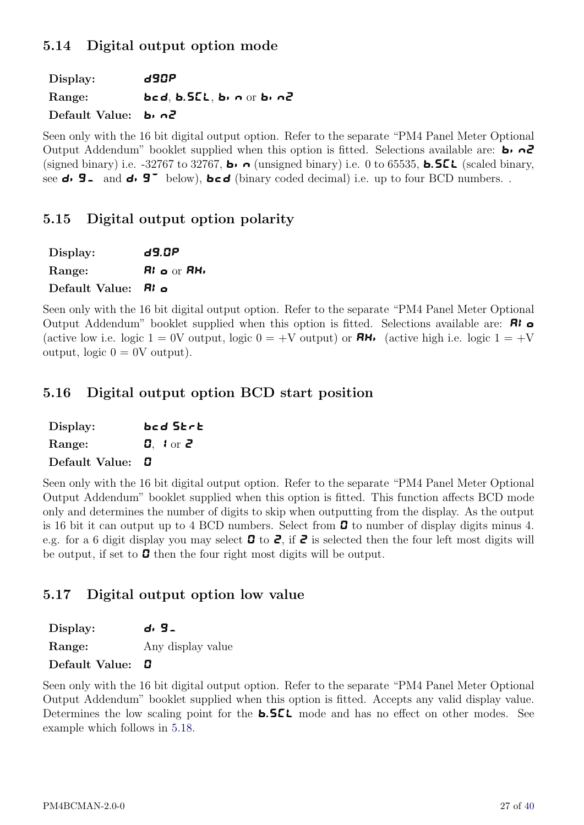## <span id="page-26-0"></span>5.14 Digital output option mode

Display: **d90P** Range: **bcd, b.SCL, bin or bin2** Default Value: b. n2

Seen only with the 16 bit digital output option. Refer to the separate "PM4 Panel Meter Optional Output Addendum" booklet supplied when this option is fitted. Selections available are: **b**.  $\alpha$ (signed binary) i.e. -32767 to 32767, **b**.  $\bullet$  (unsigned binary) i.e. 0 to 65535, **b.SEL** (scaled binary, see  $\mathbf{d} \cdot \mathbf{G}$  and  $\mathbf{d} \cdot \mathbf{G}^{\dagger}$  below),  $\mathbf{b} \in \mathbf{d}$  (binary coded decimal) i.e. up to four BCD numbers. .

## 5.15 Digital output option polarity

| Display:                      | 69.OP                             |
|-------------------------------|-----------------------------------|
| Range:                        | <b>Ri</b> $\alpha$ or <b>RH</b> , |
| Default Value: $\mathbf{R}$ o |                                   |

Seen only with the 16 bit digital output option. Refer to the separate "PM4 Panel Meter Optional Output Addendum" booklet supplied when this option is fitted. Selections available are: **RI**  $\alpha$ (active low i.e. logic  $1 = 0$ V output, logic  $0 = +V$  output) or  $\mathbf{R}$ . (active high i.e. logic  $1 = +V$ output, logic  $0 = 0$ V output).

## 5.16 Digital output option BCD start position

| Display:       | bcd Strt                  |
|----------------|---------------------------|
| Range:         | <b>0.</b> $\text{for } 2$ |
| Default Value: | П                         |

Seen only with the 16 bit digital output option. Refer to the separate "PM4 Panel Meter Optional Output Addendum" booklet supplied when this option is fitted. This function affects BCD mode only and determines the number of digits to skip when outputting from the display. As the output is 16 bit it can output up to 4 BCD numbers. Select from  $\mathbf G$  to number of display digits minus 4. e.g. for a 6 digit display you may select  $\mathbf G$  to  $\mathbf Z$ , if  $\mathbf Z$  is selected then the four left most digits will be output, if set to  $\boldsymbol{B}$  then the four right most digits will be output.

## 5.17 Digital output option low value

| Display: | d, 9.             |
|----------|-------------------|
| Range:   | Any display value |

#### Default Value: 0

Seen only with the 16 bit digital output option. Refer to the separate "PM4 Panel Meter Optional Output Addendum" booklet supplied when this option is fitted. Accepts any valid display value. Determines the low scaling point for the  $\bullet$ . SEL mode and has no effect on other modes. See example which follows in [5.18.](#page-27-0)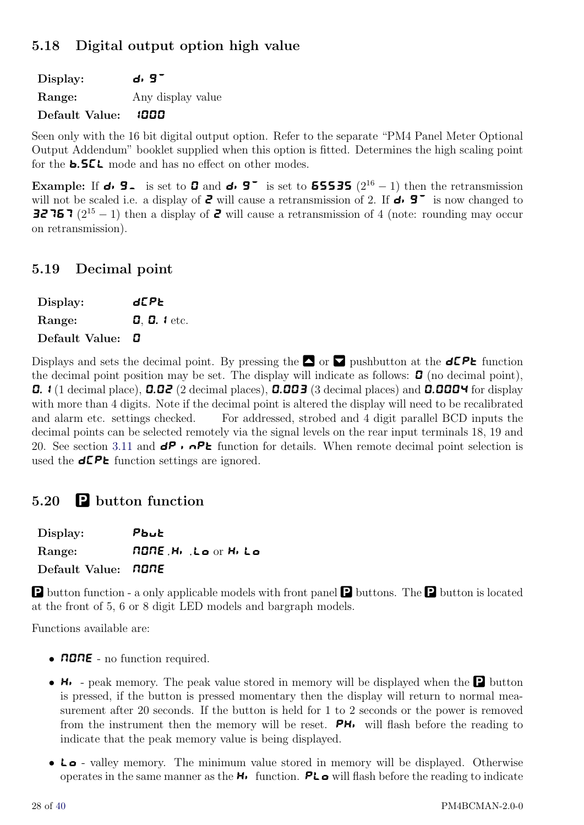## <span id="page-27-0"></span>5.18 Digital output option high value

Display:  $\mathsf{d} \cdot \mathsf{G}^{\mathsf{T}}$ Range: Any display value Default Value: 1000

Seen only with the 16 bit digital output option. Refer to the separate "PM4 Panel Meter Optional Output Addendum" booklet supplied when this option is fitted. Determines the high scaling point for the **b.5CL** mode and has no effect on other modes.

Example: If  $\mathbf{d} \cdot \mathbf{S}$  is set to  $\mathbf{G}$  and  $\mathbf{d} \cdot \mathbf{S}$  is set to **65535** (2<sup>16</sup> − 1) then the retransmission will not be scaled i.e. a display of  $\bar{e}$  will cause a retransmission of 2. If  $\bar{e}$   $\bar{e}$  is now changed to **32767** ( $2^{15} - 1$ ) then a display of **2** will cause a retransmission of 4 (note: rounding may occur on retransmission).

#### 5.19 Decimal point

| Display:                | d[P6                   |
|-------------------------|------------------------|
| Range:                  | $0, 0$ . <i>l</i> etc. |
| Default Value: <b>D</b> |                        |

Displays and sets the decimal point. By pressing the  $\Box$  or  $\Box$  pushbutton at the dCPt function the decimal point position may be set. The display will indicate as follows:  $\mathbf{G}$  (no decimal point), **0.**  $\mathbf{1}$  (1 decimal place), **0.02** (2 decimal places), **0.003** (3 decimal places) and **0.0004** for display with more than 4 digits. Note if the decimal point is altered the display will need to be recalibrated and alarm etc. settings checked. For addressed, strobed and 4 digit parallel BCD inputs the decimal points can be selected remotely via the signal levels on the rear input terminals 18, 19 and 20. See section [3.11](#page-12-0) and  $dP \rightarrow \neg PE$  function for details. When remote decimal point selection is used the  $d\mathsf{CP}$  function settings are ignored.

## 5.20 P button function

| Display:                   | Pbut                      |
|----------------------------|---------------------------|
| Range:                     | <b>NONE.H. Loor H. Lo</b> |
| Default Value: <b>NONE</b> |                           |

P button function - a only applicable models with front panel P buttons. The P button is located at the front of 5, 6 or 8 digit LED models and bargraph models.

Functions available are:

- **NONE** no function required.
- $\mathsf{H}$  peak memory. The peak value stored in memory will be displayed when the **P** button is pressed, if the button is pressed momentary then the display will return to normal measurement after 20 seconds. If the button is held for 1 to 2 seconds or the power is removed from the instrument then the memory will be reset.  $\mathbf{P}$ H<sub>i</sub> will flash before the reading to indicate that the peak memory value is being displayed.
- Lo valley memory. The minimum value stored in memory will be displayed. Otherwise operates in the same manner as the  $H_1$  function.  $PL \circ$  will flash before the reading to indicate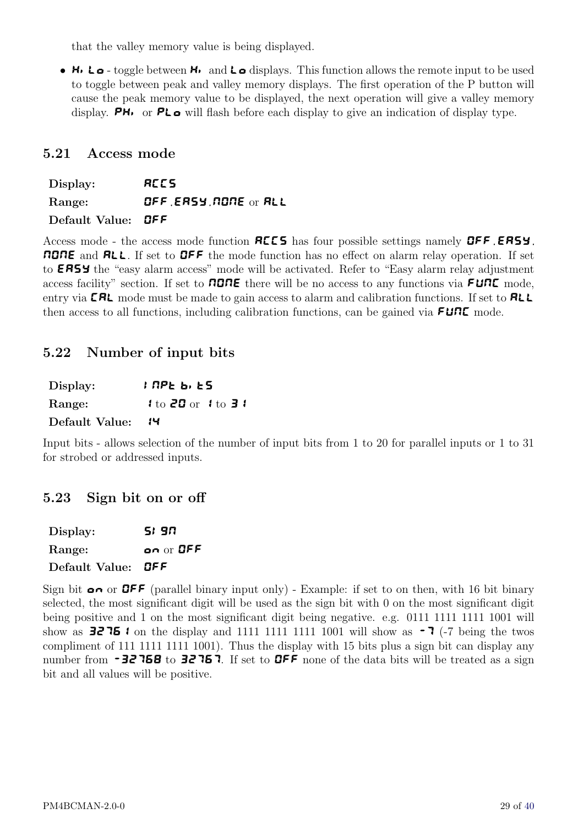<span id="page-28-0"></span>that the valley memory value is being displayed.

• H<sub>i</sub>L<sub>o</sub> - toggle between H<sub>i</sub> and L<sub>o</sub> displays. This function allows the remote input to be used to toggle between peak and valley memory displays. The first operation of the P button will cause the peak memory value to be displayed, the next operation will give a valley memory display. **PH**<sub>i</sub> or **PL**<sub> $\alpha$ </sub> will flash before each display to give an indication of display type.

#### 5.21 Access mode

Display: **ACCS** Range: OFF, EASY, NONE or ALL Default Value: **OFF** 

Access mode - the access mode function **REES** has four possible settings namely **OFF**, **ERSY**, NONE and ALL. If set to OFF the mode function has no effect on alarm relay operation. If set to **ERSY** the "easy alarm access" mode will be activated. Refer to "Easy alarm relay adjustment" access facility" section. If set to **NONE** there will be no access to any functions via **FUNE** mode, entry via **CRL** mode must be made to gain access to alarm and calibration functions. If set to **RLL** then access to all functions, including calibration functions, can be gained via  $F \cup \cap E$  mode.

#### 5.22 Number of input bits

| Display:       | <i>ነ በ</i> PE b, ES    |  |
|----------------|------------------------|--|
| Range:         | $1 to 20$ or $1 to 31$ |  |
| Default Value: | 14                     |  |

Input bits - allows selection of the number of input bits from 1 to 20 for parallel inputs or 1 to 31 for strobed or addressed inputs.

#### 5.23 Sign bit on or off

| Display:                  | SI 90     |
|---------------------------|-----------|
| Range:                    | on or OFF |
| Default Value: <b>OFF</b> |           |

Sign bit on or **OFF** (parallel binary input only) - Example: if set to on then, with 16 bit binary selected, the most significant digit will be used as the sign bit with 0 on the most significant digit being positive and 1 on the most significant digit being negative. e.g. 0111 1111 1111 1001 will show as **3276** i on the display and 1111 1111 1111 1001 will show as  $-7$  (-7 being the twos compliment of 111 1111 1111 1001). Thus the display with 15 bits plus a sign bit can display any number from  $-32768$  to 32767. If set to OFF none of the data bits will be treated as a sign bit and all values will be positive.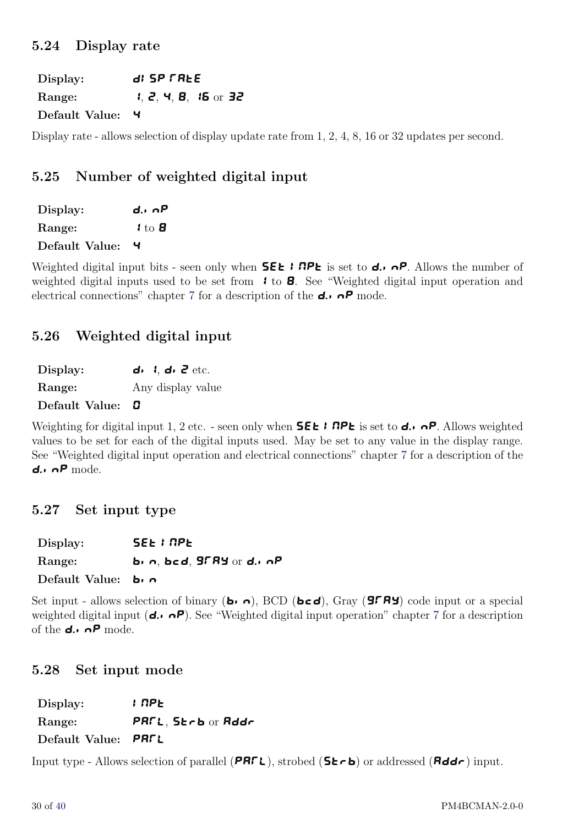#### <span id="page-29-0"></span>5.24 Display rate

Display: d: **5P FREE** Range: 1, 2, 4, 8, 15 or 32 Default Value: 4

Display rate - allows selection of display update rate from 1, 2, 4, 8, 16 or 32 updates per second.

#### 5.25 Number of weighted digital input

| Display:       | d., nP                       |
|----------------|------------------------------|
| <b>Range:</b>  | $\mathbf{1}$ to $\mathbf{B}$ |
| Default Value: | ч                            |

Weighted digital input bits - seen only when **SEL I RPL** is set to **d.**  $\theta$ . Allows the number of weighted digital inputs used to be set from  $\bullet$  to **B**. See "Weighted digital input operation and electrical connections" chapter [7](#page-36-0) for a description of the  $d \cdot \cdot \cdot P$  mode.

#### 5.26 Weighted digital input

| Display: |  |  | $d_1$ , $d_2$ , $d_3$ etc. |
|----------|--|--|----------------------------|
|----------|--|--|----------------------------|

Range: Any display value

Default Value: 0

Weighting for digital input 1, 2 etc. - seen only when **SEE** I **RPE** is set to **d.**,  $\alpha P$ . Allows weighted values to be set for each of the digital inputs used. May be set to any value in the display range. See "Weighted digital input operation and electrical connections" chapter [7](#page-36-0) for a description of the d. $\cdot$   $\cap$  P mode.

#### 5.27 Set input type

Display: **SEE I RPE** Range: bin, bcd,  $9FAY$  or d.inP

Default Value: bin

Set input - allows selection of binary (**b**<sub>i</sub>  $\sigma$ ), BCD (**bcd**), Gray (**gray**) code input or a special weighted digital input ( $d \cdot \sigma$ P). See "Weighted digital input operation" chapter [7](#page-36-0) for a description of the  $d_i$ ,  $\alpha P$  mode.

#### 5.28 Set input mode

 $Display:$   $IPE$ Range: PAFL, Strb or Addr Default Value: PRFL

Input type - Allows selection of parallel (PRFL), strobed ( $5E - b$ ) or addressed ( $Rdd - c$ ) input.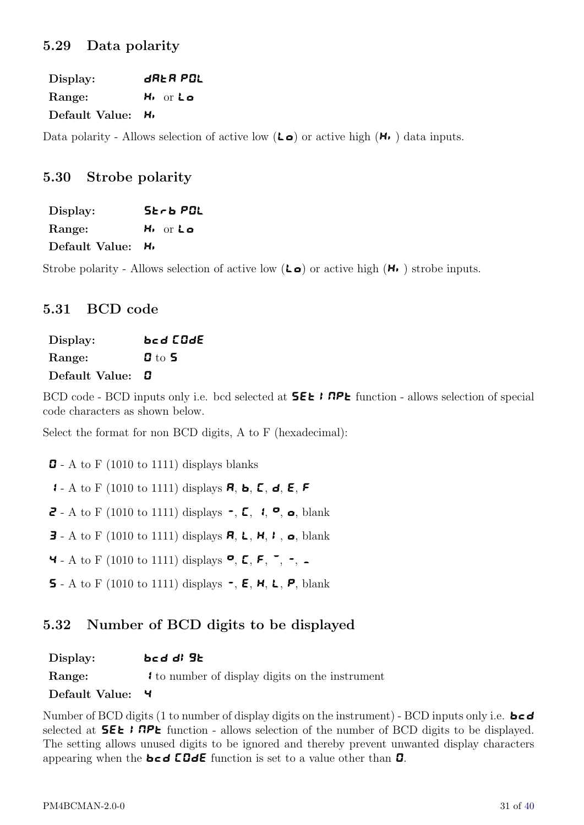<span id="page-30-0"></span>Display: **dREA POL** Range: H<sub>i Or Lo</sub> Default Value: H<sub>1</sub>

Data polarity - Allows selection of active low  $(L_0)$  or active high  $(H_1)$  data inputs.

#### 5.30 Strobe polarity

| Display:       | SEF6 POL        |
|----------------|-----------------|
| Range:         | H, or <b>La</b> |
| Default Value: | н,              |

Strobe polarity - Allows selection of active low  $(L\bullet)$  or active high  $(H.)$  strobe inputs.

#### 5.31 BCD code

| Display:       | bcd [OdE      |
|----------------|---------------|
| Range:         | $\bm{G}$ to 5 |
| Default Value: | П             |

BCD code - BCD inputs only i.e. bcd selected at  **<b>PPE** function - allows selection of special code characters as shown below.

Select the format for non BCD digits, A to F (hexadecimal):

 $\mathbf{D}$  - A to F (1010 to 1111) displays blanks

**1** - A to F (1010 to 1111) displays **R, b, C, d, E, F** 

**2** - A to F (1010 to 1111) displays  $\sim$ , **C**,  $\arrow$ , **e**, blank

**3** - A to F (1010 to 1111) displays **A, L, H, I, o**, blank

**4** - A to F (1010 to 1111) displays  $P, E, F, \tilde{\phantom{a}}$ , -, -

**5** - A to F (1010 to 1111) displays  $\sim$ , **E**, **H**, **L**, **P**, blank

#### 5.32 Number of BCD digits to be displayed

| Display:       | bed di 96                                        |
|----------------|--------------------------------------------------|
| Range:         | If to number of display digits on the instrument |
| Default Value: |                                                  |

Number of BCD digits (1 to number of display digits on the instrument) - BCD inputs only i.e.  $\mathbf{b} \in \mathbf{d}$ selected at  $5\epsilon$ :  $nP\epsilon$  function - allows selection of the number of BCD digits to be displayed. The setting allows unused digits to be ignored and thereby prevent unwanted display characters appearing when the  $\mathbf{b} \in \mathbf{d}$  COdE function is set to a value other than  $\mathbf{D}$ .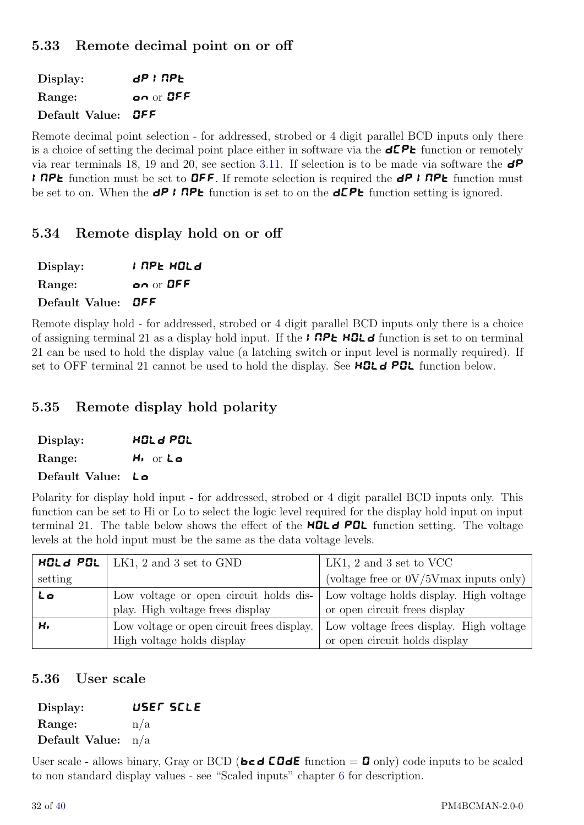## <span id="page-31-0"></span>5.33 Remote decimal point on or off

 $\text{Display:}$  dP I NPL Range: **on** or **OFF** Default Value: OFF

Remote decimal point selection - for addressed, strobed or 4 digit parallel BCD inputs only there is a choice of setting the decimal point place either in software via the  $d\mathcal{LP}$  function or remotely via rear terminals 18, 19 and 20, see section [3.11.](#page-12-0) If selection is to be made via software the  $\mathbf{d}P$ **I RPL** function must be set to **OFF**. If remote selection is required the *dP* **I RPL** function must be set to on. When the  $dP$  i RPL function is set to on the  $dP$ L function setting is ignored.

#### 5.34 Remote display hold on or off

| Display:                  | ; APE HOLd |
|---------------------------|------------|
| Range:                    | on or OFF  |
| Default Value: <b>OFF</b> |            |

Remote display hold - for addressed, strobed or 4 digit parallel BCD inputs only there is a choice of assigning terminal 21 as a display hold input. If the **I RPE HOL** d function is set to on terminal 21 can be used to hold the display value (a latching switch or input level is normally required). If set to OFF terminal 21 cannot be used to hold the display. See **HOL**  $\theta$  POL function below.

#### 5.35 Remote display hold polarity

| Display:          | <b>HOL &amp; POL</b> |
|-------------------|----------------------|
| Range:            | H, or <b>La</b>      |
| Default Value: Lo |                      |

Polarity for display hold input - for addressed, strobed or 4 digit parallel BCD inputs only. This function can be set to Hi or Lo to select the logic level required for the display hold input on input terminal 21. The table below shows the effect of the **HOLD POL** function setting. The voltage levels at the hold input must be the same as the data voltage levels.

|         | <b>HOL 4 POL</b>   LK1, 2 and 3 set to GND | LK1, 2 and 3 set to VCC                   |
|---------|--------------------------------------------|-------------------------------------------|
| setting |                                            | (voltage free or $0V/5V$ max inputs only) |
| L o     | Low voltage or open circuit holds dis-     | Low voltage holds display. High voltage   |
|         | play. High voltage frees display           | or open circuit frees display             |
| н.      | Low voltage or open circuit frees display. | Low voltage frees display. High voltage   |
|         | High voltage holds display                 | or open circuit holds display             |

#### 5.36 User scale

| Display:             |     | USEF SELE |
|----------------------|-----|-----------|
| Range:               | n/a |           |
| Default Value: $n/a$ |     |           |

User scale - allows binary, Gray or BCD ( $\mathbf{b} \in \mathbf{d}$  CO $\mathbf{d} \in \mathbf{L}$  function = 0 only) code inputs to be scaled to non standard display values - see "Scaled inputs" chapter [6](#page-34-0) for description.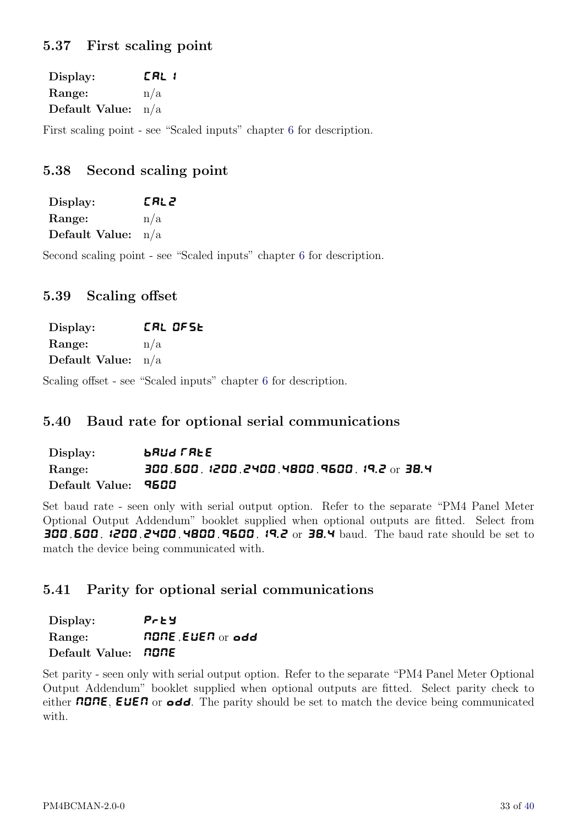## <span id="page-32-0"></span>5.37 First scaling point

| Display:             | [RL ¦ |
|----------------------|-------|
| Range:               | n/a   |
| Default Value: $n/a$ |       |

First scaling point - see "Scaled inputs" chapter [6](#page-34-0) for description.

### 5.38 Second scaling point

| Display:             | [RL2 |
|----------------------|------|
| Range:               | n/a  |
| Default Value: $n/a$ |      |

Second scaling point - see "Scaled inputs" chapter [6](#page-34-0) for description.

#### 5.39 Scaling offset

| Display:             | CAL OFSE |
|----------------------|----------|
| Range:               | n/a      |
| Default Value: $n/a$ |          |

Scaling offset - see "Scaled inputs" chapter [6](#page-34-0) for description.

#### 5.40 Baud rate for optional serial communications

| Display:            | <b>brud Free</b>                           |
|---------------------|--------------------------------------------|
| Range:              | 300,600, 1200,2400,4800,9600, 19.2 or 38.4 |
| Default Value: 9500 |                                            |

Set baud rate - seen only with serial output option. Refer to the separate "PM4 Panel Meter Optional Output Addendum" booklet supplied when optional outputs are fitted. Select from 300, 600, 1200, 2400, 4800, 9600, 19.2 or 38.4 baud. The baud rate should be set to match the device being communicated with.

#### 5.41 Parity for optional serial communications

| Display:                   | Prey             |
|----------------------------|------------------|
| Range:                     | AONE EUEA or add |
| Default Value: <b>NONE</b> |                  |

Set parity - seen only with serial output option. Refer to the separate "PM4 Panel Meter Optional Output Addendum" booklet supplied when optional outputs are fitted. Select parity check to either  $\Pi$ **ONE, EUEN** or **odd**. The parity should be set to match the device being communicated with.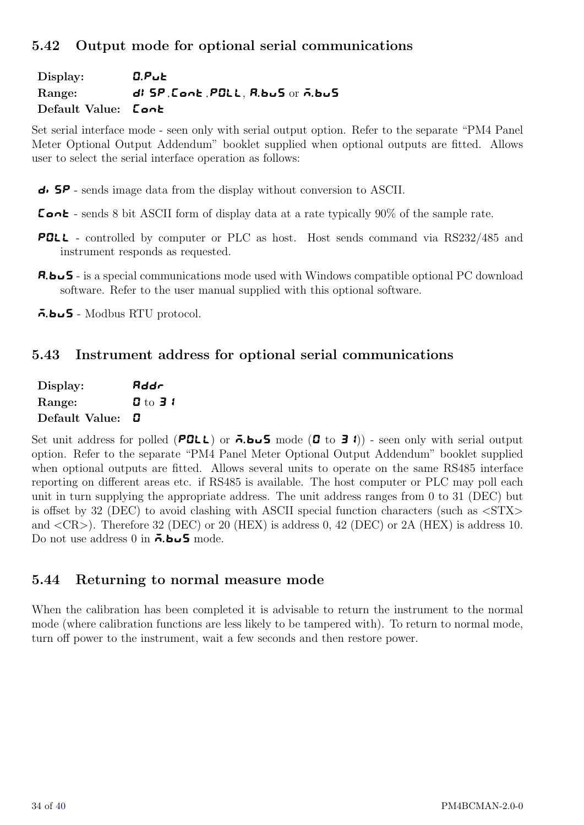## <span id="page-33-0"></span>5.42 Output mode for optional serial communications

Display: **C.Put** Range: dl SP, Cont, POLL, R.buS or A.buS Default Value: Cont

Set serial interface mode - seen only with serial output option. Refer to the separate "PM4 Panel Meter Optional Output Addendum" booklet supplied when optional outputs are fitted. Allows user to select the serial interface operation as follows:

 $\overline{\mathsf{d}}$   $\overline{\mathsf{S}}$  - sends image data from the display without conversion to ASCII.

- **Cont** sends 8 bit ASCII form of display data at a rate typically  $90\%$  of the sample rate.
- POLL controlled by computer or PLC as host. Host sends command via RS232/485 and instrument responds as requested.
- A.buS is a special communications mode used with Windows compatible optional PC download software. Refer to the user manual supplied with this optional software.

 $\vec{a}$ . bus - Modbus RTU protocol.

#### 5.43 Instrument address for optional serial communications

| Display:       | Rddr                           |
|----------------|--------------------------------|
| Range:         | $\mathbf{G}$ to $\mathbf{J}$ t |
| Default Value: | O                              |

Set unit address for polled (POLL) or  $\vec{\theta}$ . bush mode (D to 3.1)) - seen only with serial output option. Refer to the separate "PM4 Panel Meter Optional Output Addendum" booklet supplied when optional outputs are fitted. Allows several units to operate on the same RS485 interface reporting on different areas etc. if RS485 is available. The host computer or PLC may poll each unit in turn supplying the appropriate address. The unit address ranges from 0 to 31 (DEC) but is offset by 32 (DEC) to avoid clashing with ASCII special function characters (such as  $\langle STX \rangle$ and  $\langle CR \rangle$ ). Therefore 32 (DEC) or 20 (HEX) is address 0, 42 (DEC) or 2A (HEX) is address 10. Do not use address 0 in  $\bar{\mathbf{a}}$ . bush mode.

#### 5.44 Returning to normal measure mode

When the calibration has been completed it is advisable to return the instrument to the normal mode (where calibration functions are less likely to be tampered with). To return to normal mode, turn off power to the instrument, wait a few seconds and then restore power.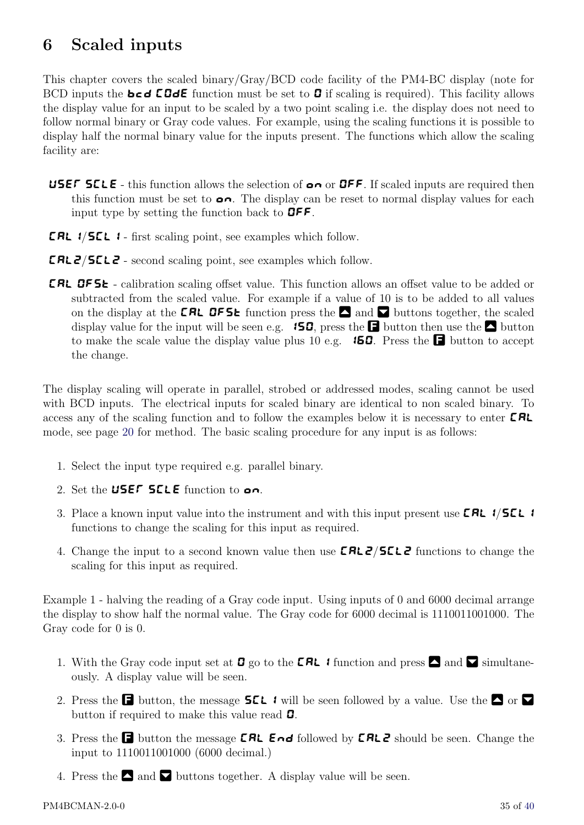# <span id="page-34-0"></span>6 Scaled inputs

This chapter covers the scaled binary/Gray/BCD code facility of the PM4-BC display (note for BCD inputs the **bcd COdE** function must be set to **D** if scaling is required). This facility allows the display value for an input to be scaled by a two point scaling i.e. the display does not need to follow normal binary or Gray code values. For example, using the scaling functions it is possible to display half the normal binary value for the inputs present. The functions which allow the scaling facility are:

- **USEF SELE** this function allows the selection of  $\alpha \wedge \alpha$  or **OFF**. If scaled inputs are required then this function must be set to  $\bullet \bullet$ . The display can be reset to normal display values for each input type by setting the function back to  $\mathbf{QFF}$ .
- **CAL**  $1/5EL$  **:** first scaling point, see examples which follow.
- CAL2/SCL2 second scaling point, see examples which follow.
- **CRL OFSE** calibration scaling offset value. This function allows an offset value to be added or subtracted from the scaled value. For example if a value of 10 is to be added to all values on the display at the **CRL OF5t** function press the  $\Box$  and  $\Box$  buttons together, the scaled display value for the input will be seen e.g. **150**, press the **F** button then use the **F** button to make the scale value the display value plus 10 e.g. **150.** Press the **F** button to accept the change.

The display scaling will operate in parallel, strobed or addressed modes, scaling cannot be used with BCD inputs. The electrical inputs for scaled binary are identical to non scaled binary. To access any of the scaling function and to follow the examples below it is necessary to enter  $\text{CRL}$ mode, see page [20](#page-18-0) for method. The basic scaling procedure for any input is as follows:

- 1. Select the input type required e.g. parallel binary.
- 2. Set the USEF SELE function to  $\mathbf{a}$ .
- 3. Place a known input value into the instrument and with this input present use **CAL** 1/**SCL** 1 functions to change the scaling for this input as required.
- 4. Change the input to a second known value then use **CRL 2/5CL2** functions to change the scaling for this input as required.

Example 1 - halving the reading of a Gray code input. Using inputs of 0 and 6000 decimal arrange the display to show half the normal value. The Gray code for 6000 decimal is 1110011001000. The Gray code for 0 is 0.

- 1. With the Gray code input set at **0** go to the **CRL f** function and press  $\Box$  and  $\Box$  simultaneously. A display value will be seen.
- 2. Press the **F** button, the message **SCL** i will be seen followed by a value. Use the  $\blacksquare$  or  $\blacksquare$ button if required to make this value read  $\mathbf{G}$ .
- 3. Press the **F** button the message **CRL End** followed by **CRL2** should be seen. Change the input to 1110011001000 (6000 decimal.)
- 4. Press the  $\blacksquare$  and  $\blacksquare$  buttons together. A display value will be seen.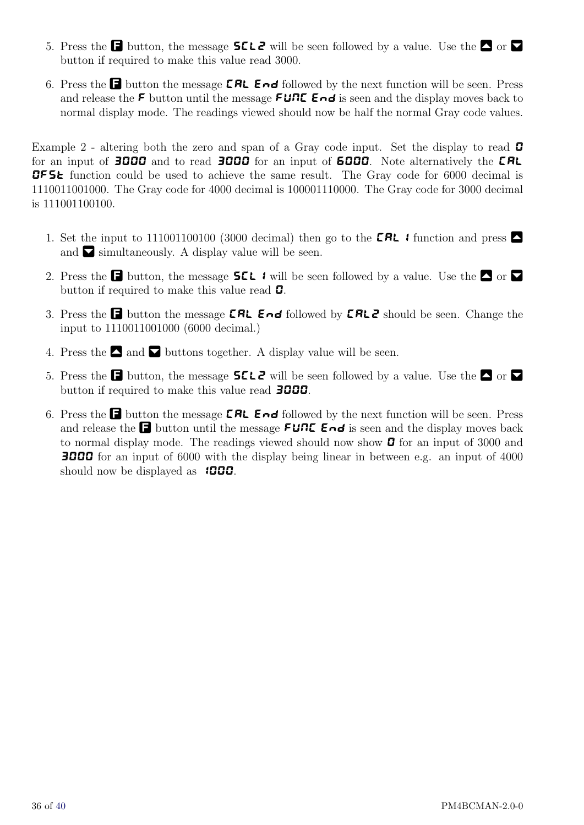- 5. Press the **F** button, the message **SCL2** will be seen followed by a value. Use the  $\blacksquare$  or  $\blacksquare$ button if required to make this value read 3000.
- 6. Press the  $\Box$  button the message  $\Box$  End followed by the next function will be seen. Press and release the F button until the message FUNC End is seen and the display moves back to normal display mode. The readings viewed should now be half the normal Gray code values.

Example 2 - altering both the zero and span of a Gray code input. Set the display to read  $\Box$ for an input of **3000** and to read **3000** for an input of **6000**. Note alternatively the **CRL OFSE** function could be used to achieve the same result. The Gray code for 6000 decimal is 1110011001000. The Gray code for 4000 decimal is 100001110000. The Gray code for 3000 decimal is 111001100100.

- 1. Set the input to 111001100100 (3000 decimal) then go to the **CAL** if function and press  $\blacksquare$ and  $\blacktriangleright$  simultaneously. A display value will be seen.
- 2. Press the **F** button, the message **SEL** i will be seen followed by a value. Use the  $\Box$  or  $\nabla$ button if required to make this value read  $\mathbf{G}$ .
- 3. Press the **F** button the message **CRL End** followed by **CRL2** should be seen. Change the input to 1110011001000 (6000 decimal.)
- 4. Press the  $\Box$  and  $\nabla$  buttons together. A display value will be seen.
- 5. Press the  $\Box$  button, the message  $\angle$  5 L  $\angle$  will be seen followed by a value. Use the  $\Box$  or  $\nabla$ button if required to make this value read **3000**.
- 6. Press the **F** button the message **CRL End** followed by the next function will be seen. Press and release the **F** button until the message **FUNC End** is seen and the display moves back to normal display mode. The readings viewed should now show  $\boldsymbol{\Box}$  for an input of 3000 and 3000 for an input of 6000 with the display being linear in between e.g. an input of 4000 should now be displayed as  $1000$ .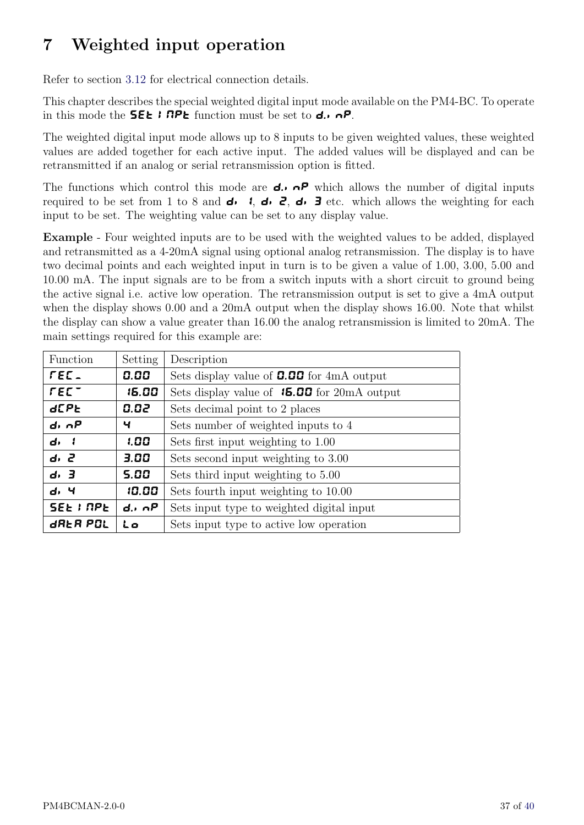# <span id="page-36-0"></span>7 Weighted input operation

Refer to section [3.12](#page-13-0) for electrical connection details.

This chapter describes the special weighted digital input mode available on the PM4-BC. To operate in this mode the **SEL I RPL** function must be set to  $d$ .  $nP$ .

The weighted digital input mode allows up to 8 inputs to be given weighted values, these weighted values are added together for each active input. The added values will be displayed and can be retransmitted if an analog or serial retransmission option is fitted.

The functions which control this mode are  $d \cdot \theta$  which allows the number of digital inputs required to be set from 1 to 8 and  $\overrightarrow{d}$ ,  $\overrightarrow{d}$ ,  $\overrightarrow{d}$ ,  $\overrightarrow{d}$ ,  $\overrightarrow{d}$  etc. which allows the weighting for each input to be set. The weighting value can be set to any display value.

Example - Four weighted inputs are to be used with the weighted values to be added, displayed and retransmitted as a 4-20mA signal using optional analog retransmission. The display is to have two decimal points and each weighted input in turn is to be given a value of 1.00, 3.00, 5.00 and 10.00 mA. The input signals are to be from a switch inputs with a short circuit to ground being the active signal i.e. active low operation. The retransmission output is set to give a 4mA output when the display shows 0.00 and a 20mA output when the display shows 16.00. Note that whilst the display can show a value greater than 16.00 the analog retransmission is limited to 20mA. The main settings required for this example are:

| Function         | Setting          | Description                                        |
|------------------|------------------|----------------------------------------------------|
| FEE.             | 0.00             | Sets display value of <b>0.00</b> for $4mA$ output |
| $FET^-$          | 15.00            | Sets display value of $15.00$ for 20mA output      |
| <b>d</b> [PE     | 0.02             | Sets decimal point to 2 places                     |
| d, nP            | ч                | Sets number of weighted inputs to 4                |
| d, l             | 1.00             | Sets first input weighting to 1.00                 |
| d, 2             | 3.00             | Sets second input weighting to 3.00                |
| d, 3             | 5.00             | Sets third input weighting to 5.00                 |
| d, 4             | 10.00            | Sets fourth input weighting to 10.00               |
| <b>SEE I NPE</b> | $d \cdot \cap P$ | Sets input type to weighted digital input          |
| drer pol         | Lo               | Sets input type to active low operation            |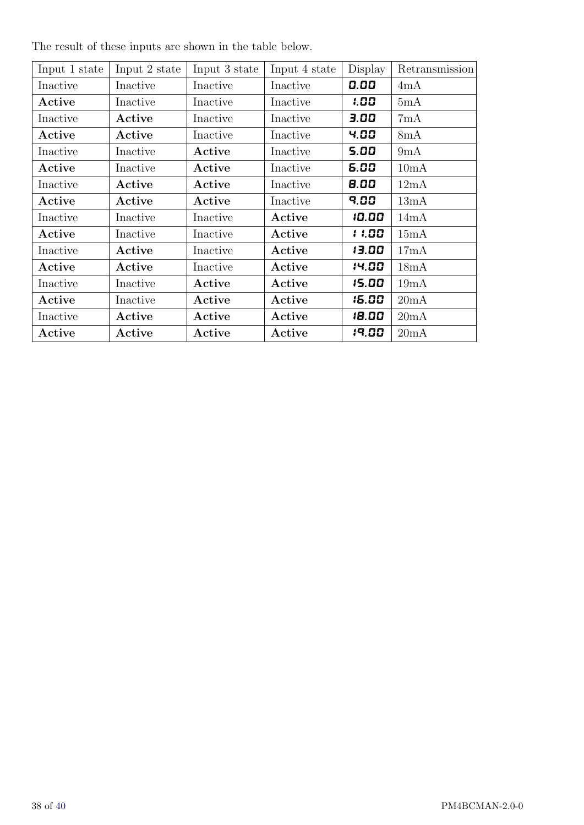| Input 1 state | Input 2 state | Input 3 state | Input 4 state | Display | Retransmission |
|---------------|---------------|---------------|---------------|---------|----------------|
| Inactive      | Inactive      | Inactive      | Inactive      | 0.00    | 4mA            |
| Active        | Inactive      | Inactive      | Inactive      | 1.00    | 5mA            |
| Inactive      | Active        | Inactive      | Inactive      | 3.00    | 7mA            |
| Active        | Active        | Inactive      | Inactive      | 4.00    | 8mA            |
| Inactive      | Inactive      | Active        | Inactive      | 5.00    | 9mA            |
| Active        | Inactive      | Active        | Inactive      | 5.00    | 10mA           |
| Inactive      | Active        | Active        | Inactive      | 8.00    | 12mA           |
| Active        | Active        | Active        | Inactive      | 9.00    | 13mA           |
| Inactive      | Inactive      | Inactive      | Active        | 10.00   | 14mA           |
| Active        | Inactive      | Inactive      | Active        | 11.00   | 15mA           |
| Inactive      | Active        | Inactive      | Active        | 13.00   | 17mA           |
| Active        | Active        | Inactive      | Active        | 14.00   | 18mA           |
| Inactive      | Inactive      | Active        | Active        | 15.00   | 19mA           |
| Active        | Inactive      | Active        | Active        | 15.00   | 20mA           |
| Inactive      | Active        | Active        | Active        | 18.00   | 20mA           |
| Active        | Active        | Active        | Active        | 19.00   | 20mA           |

The result of these inputs are shown in the table below.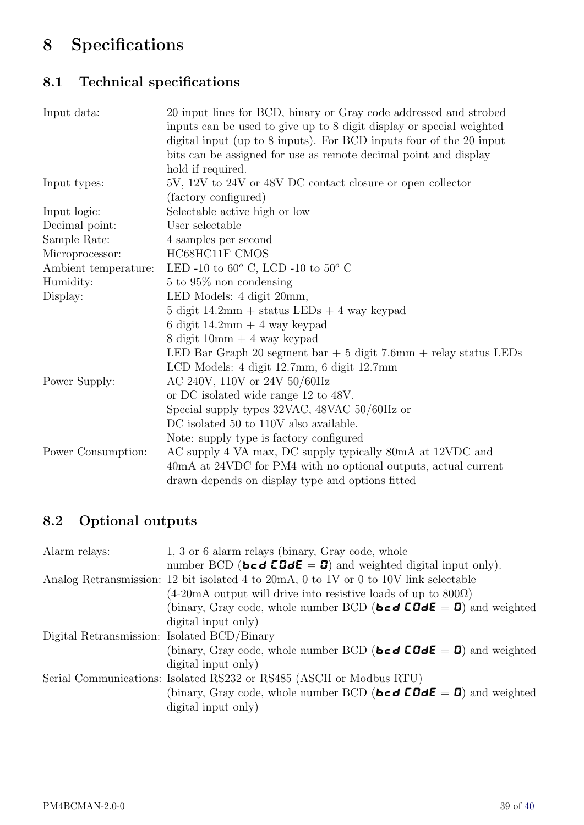# <span id="page-38-0"></span>8 Specifications

## 8.1 Technical specifications

| Input data:          | 20 input lines for BCD, binary or Gray code addressed and strobed<br>inputs can be used to give up to 8 digit display or special weighted<br>digital input (up to 8 inputs). For BCD inputs four of the 20 input<br>bits can be assigned for use as remote decimal point and display<br>hold if required. |
|----------------------|-----------------------------------------------------------------------------------------------------------------------------------------------------------------------------------------------------------------------------------------------------------------------------------------------------------|
| Input types:         | 5V, 12V to 24V or 48V DC contact closure or open collector                                                                                                                                                                                                                                                |
|                      | (factory configured)                                                                                                                                                                                                                                                                                      |
| Input logic:         | Selectable active high or low                                                                                                                                                                                                                                                                             |
| Decimal point:       | User selectable                                                                                                                                                                                                                                                                                           |
| Sample Rate:         | 4 samples per second                                                                                                                                                                                                                                                                                      |
| Microprocessor:      | HC68HC11F CMOS                                                                                                                                                                                                                                                                                            |
| Ambient temperature: | LED -10 to $60^{\circ}$ C, LCD -10 to $50^{\circ}$ C                                                                                                                                                                                                                                                      |
| Humidity:            | $5$ to $95\%$ non condensing                                                                                                                                                                                                                                                                              |
| Display:             | LED Models: 4 digit 20mm,                                                                                                                                                                                                                                                                                 |
|                      | $5$ digit $14.2 \text{mm} +$ status LEDs $+$ 4 way keypad                                                                                                                                                                                                                                                 |
|                      | 6 digit $14.2 \text{mm} + 4$ way keypad                                                                                                                                                                                                                                                                   |
|                      | 8 digit 10mm $+$ 4 way keypad                                                                                                                                                                                                                                                                             |
|                      | LED Bar Graph 20 segment bar $+5$ digit 7.6mm $+$ relay status LEDs                                                                                                                                                                                                                                       |
|                      | LCD Models: 4 digit 12.7mm, 6 digit 12.7mm                                                                                                                                                                                                                                                                |
| Power Supply:        | AC 240V, 110V or 24V 50/60Hz                                                                                                                                                                                                                                                                              |
|                      | or DC isolated wide range 12 to 48V.                                                                                                                                                                                                                                                                      |
|                      | Special supply types 32VAC, 48VAC 50/60Hz or                                                                                                                                                                                                                                                              |
|                      | DC isolated 50 to 110V also available.                                                                                                                                                                                                                                                                    |
|                      | Note: supply type is factory configured                                                                                                                                                                                                                                                                   |
| Power Consumption:   | AC supply 4 VA max, DC supply typically 80mA at 12VDC and                                                                                                                                                                                                                                                 |
|                      | 40mA at 24VDC for PM4 with no optional outputs, actual current                                                                                                                                                                                                                                            |
|                      | drawn depends on display type and options fitted                                                                                                                                                                                                                                                          |
|                      |                                                                                                                                                                                                                                                                                                           |

## 8.2 Optional outputs

| Alarm relays:                               | 1, 3 or 6 alarm relays (binary, Gray code, whole                                                                                       |
|---------------------------------------------|----------------------------------------------------------------------------------------------------------------------------------------|
|                                             | number BCD (bcd $\text{CGdE} = \text{C}$ ) and weighted digital input only).                                                           |
|                                             | Analog Retransmission: 12 bit isolated 4 to 20mA, 0 to 1V or 0 to 10V link selectable                                                  |
|                                             | $(4{\text -}20\text{mA}$ output will drive into resistive loads of up to $800\Omega$ )                                                 |
|                                             | (binary, Gray code, whole number BCD ( <b>bcd <math>\mathbf{C} \mathbf{D} \mathbf{d} \mathbf{E} = \mathbf{D}</math></b> ) and weighted |
|                                             | digital input only)                                                                                                                    |
| Digital Retransmission: Isolated BCD/Binary |                                                                                                                                        |
|                                             | (binary, Gray code, whole number BCD (bcd $EGdE = D$ ) and weighted                                                                    |
|                                             | digital input only)                                                                                                                    |
|                                             | Serial Communications: Isolated RS232 or RS485 (ASCII or Modbus RTU)                                                                   |
|                                             | (binary, Gray code, whole number BCD (bcd $EddE = 0$ ) and weighted                                                                    |
|                                             | digital input only)                                                                                                                    |